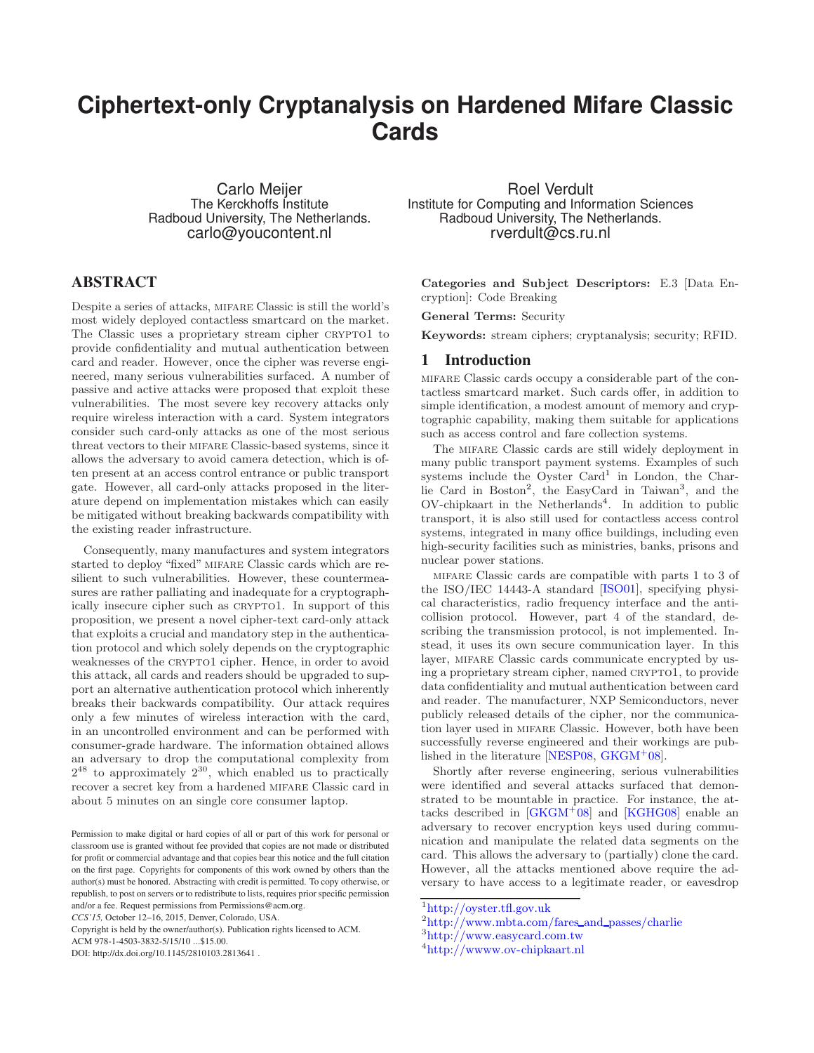# **Ciphertext-only Cryptanalysis on Hardened Mifare Classic Cards**

Carlo Meijer The Kerckhoffs Institute Radboud University, The Netherlands. carlo@youcontent.nl

# ABSTRACT

Despite a series of attacks, mifare Classic is still the world's most widely deployed contactless smartcard on the market. The Classic uses a proprietary stream cipher CRYPTO1 to provide confidentiality and mutual authentication between card and reader. However, once the cipher was reverse engineered, many serious vulnerabilities surfaced. A number of passive and active attacks were proposed that exploit these vulnerabilities. The most severe key recovery attacks only require wireless interaction with a card. System integrators consider such card-only attacks as one of the most serious threat vectors to their mifare Classic-based systems, since it allows the adversary to avoid camera detection, which is often present at an access control entrance or public transport gate. However, all card-only attacks proposed in the literature depend on implementation mistakes which can easily be mitigated without breaking backwards compatibility with the existing reader infrastructure.

Consequently, many manufactures and system integrators started to deploy "fixed" mifare Classic cards which are resilient to such vulnerabilities. However, these countermeasures are rather palliating and inadequate for a cryptographically insecure cipher such as CRYPTO1. In support of this proposition, we present a novel cipher-text card-only attack that exploits a crucial and mandatory step in the authentication protocol and which solely depends on the cryptographic weaknesses of the CRYPTO1 cipher. Hence, in order to avoid this attack, all cards and readers should be upgraded to support an alternative authentication protocol which inherently breaks their backwards compatibility. Our attack requires only a few minutes of wireless interaction with the card, in an uncontrolled environment and can be performed with consumer-grade hardware. The information obtained allows an adversary to drop the computational complexity from  $2^{48}$  to approximately  $2^{30}$ , which enabled us to practically recover a secret key from a hardened mifare Classic card in about 5 minutes on an single core consumer laptop.

*CCS'15,* October 12–16, 2015, Denver, Colorado, USA.

ACM 978-1-4503-3832-5/15/10 ...\$15.00.

DOI: http://dx.doi.org/10.1145/2810103.2813641 .

Roel Verdult Institute for Computing and Information Sciences Radboud University, The Netherlands. rverdult@cs.ru.nl

Categories and Subject Descriptors: E.3 [Data Encryption]: Code Breaking

General Terms: Security

Keywords: stream ciphers; cryptanalysis; security; RFID.

## 1 Introduction

mifare Classic cards occupy a considerable part of the contactless smartcard market. Such cards offer, in addition to simple identification, a modest amount of memory and cryptographic capability, making them suitable for applications such as access control and fare collection systems.

The mifare Classic cards are still widely deployment in many public transport payment systems. Examples of such systems include the Oyster Card<sup>[1](#page-0-0)</sup> in London, the Char-lie Card in Boston<sup>[2](#page-0-1)</sup>, the EasyCard in Taiwan<sup>[3](#page-0-2)</sup>, and the OV-chipkaart in the Netherlands<sup>[4](#page-0-3)</sup>. In addition to public transport, it is also still used for contactless access control systems, integrated in many office buildings, including even high-security facilities such as ministries, banks, prisons and nuclear power stations.

mifare Classic cards are compatible with parts 1 to 3 of the ISO/IEC 14443-A standard [\[ISO01\]](#page-12-0), specifying physical characteristics, radio frequency interface and the anticollision protocol. However, part 4 of the standard, describing the transmission protocol, is not implemented. Instead, it uses its own secure communication layer. In this layer, mifare Classic cards communicate encrypted by using a proprietary stream cipher, named CRYPTO1, to provide data confidentiality and mutual authentication between card and reader. The manufacturer, NXP Semiconductors, never publicly released details of the cipher, nor the communication layer used in mifare Classic. However, both have been successfully reverse engineered and their workings are published in the literature [\[NESP08,](#page-12-1) [GKGM](#page-12-2)<sup>+</sup>08].

Shortly after reverse engineering, serious vulnerabilities were identified and several attacks surfaced that demonstrated to be mountable in practice. For instance, the attacks described in  $[GKGM^+08]$  and  $[KGHG08]$  enable an adversary to recover encryption keys used during communication and manipulate the related data segments on the card. This allows the adversary to (partially) clone the card. However, all the attacks mentioned above require the adversary to have access to a legitimate reader, or eavesdrop

Permission to make digital or hard copies of all or part of this work for personal or classroom use is granted without fee provided that copies are not made or distributed for profit or commercial advantage and that copies bear this notice and the full citation on the first page. Copyrights for components of this work owned by others than the author(s) must be honored. Abstracting with credit is permitted. To copy otherwise, or republish, to post on servers or to redistribute to lists, requires prior specific permission and/or a fee. Request permissions from Permissions@acm.org.

Copyright is held by the owner/author(s). Publication rights licensed to ACM.

<sup>1</sup><http://oyster.tfl.gov.uk>

<span id="page-0-0"></span><sup>2</sup>[http://www.mbta.com/fares](http://www.mbta.com/fares_and_passes/charlie) and passes/charlie

<span id="page-0-1"></span><sup>3</sup><http://www.easycard.com.tw>

<span id="page-0-3"></span><span id="page-0-2"></span><sup>4</sup> <http://wwww.ov-chipkaart.nl>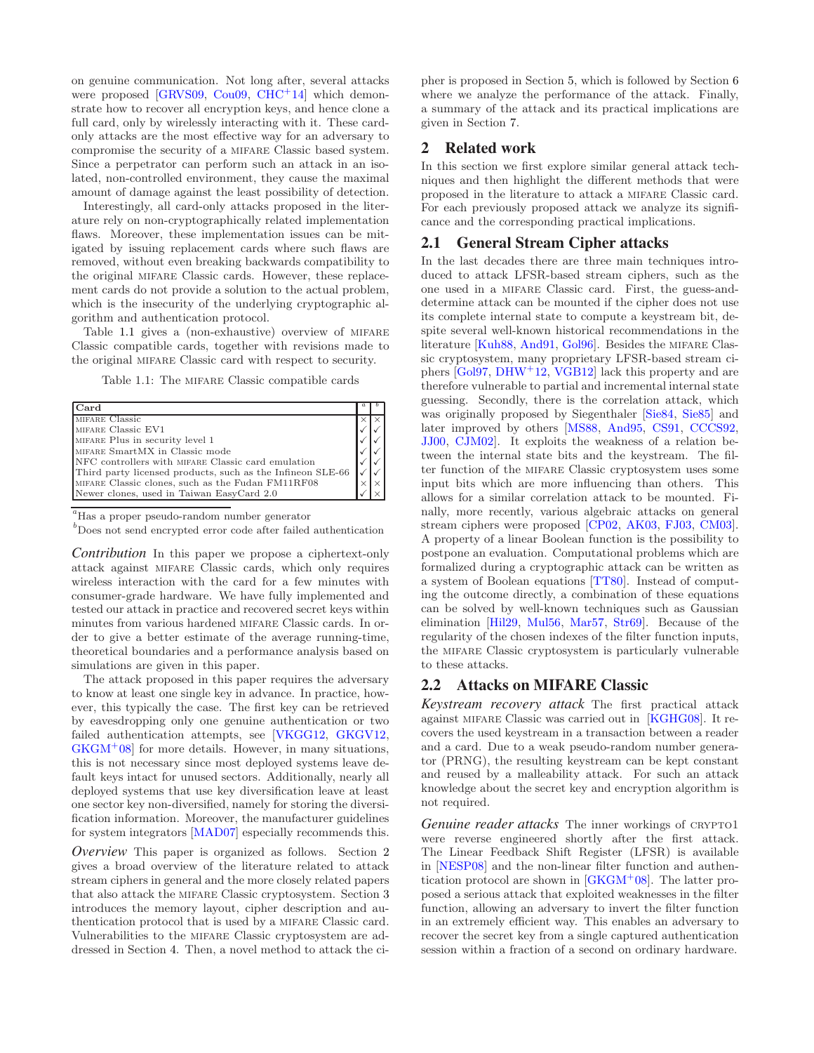on genuine communication. Not long after, several attacks were proposed  $[GRVS09, Cou09, CHC<sup>+</sup>14]$  $[GRVS09, Cou09, CHC<sup>+</sup>14]$  $[GRVS09, Cou09, CHC<sup>+</sup>14]$  $[GRVS09, Cou09, CHC<sup>+</sup>14]$  $[GRVS09, Cou09, CHC<sup>+</sup>14]$  which demonstrate how to recover all encryption keys, and hence clone a full card, only by wirelessly interacting with it. These cardonly attacks are the most effective way for an adversary to compromise the security of a mifare Classic based system. Since a perpetrator can perform such an attack in an isolated, non-controlled environment, they cause the maximal amount of damage against the least possibility of detection.

Interestingly, all card-only attacks proposed in the literature rely on non-cryptographically related implementation flaws. Moreover, these implementation issues can be mitigated by issuing replacement cards where such flaws are removed, without even breaking backwards compatibility to the original mifare Classic cards. However, these replacement cards do not provide a solution to the actual problem, which is the insecurity of the underlying cryptographic algorithm and authentication protocol.

Table [1.1](#page-1-0) gives a (non-exhaustive) overview of mifare Classic compatible cards, together with revisions made to the original mifare Classic card with respect to security.

<span id="page-1-0"></span>Table 1.1: The mifare Classic compatible cards

| Card                                                       |  |
|------------------------------------------------------------|--|
| MIFARE Classic                                             |  |
| MIFARE Classic EV1                                         |  |
| MIFARE Plus in security level 1                            |  |
| MIFARE SmartMX in Classic mode                             |  |
| NFC controllers with MIFARE Classic card emulation         |  |
| Third party licensed products, such as the Infineon SLE-66 |  |
| MIFARE Classic clones, such as the Fudan FM11RF08          |  |
| Newer clones, used in Taiwan EasyCard 2.0                  |  |

<sup>a</sup>Has a proper pseudo-random number generator

<span id="page-1-2"></span><span id="page-1-1"></span> $b_{\text{Does not send encrypted error code after failed authentication}}$ 

*Contribution* In this paper we propose a ciphertext-only attack against mifare Classic cards, which only requires wireless interaction with the card for a few minutes with consumer-grade hardware. We have fully implemented and tested our attack in practice and recovered secret keys within minutes from various hardened mifare Classic cards. In order to give a better estimate of the average running-time, theoretical boundaries and a performance analysis based on simulations are given in this paper.

The attack proposed in this paper requires the adversary to know at least one single key in advance. In practice, however, this typically the case. The first key can be retrieved by eavesdropping only one genuine authentication or two failed authentication attempts, see [\[VKGG12,](#page-12-6) [GKGV12,](#page-12-7)  $GKGM<sup>+</sup>08$  $GKGM<sup>+</sup>08$  for more details. However, in many situations, this is not necessary since most deployed systems leave default keys intact for unused sectors. Additionally, nearly all deployed systems that use key diversification leave at least one sector key non-diversified, namely for storing the diversification information. Moreover, the manufacturer guidelines for system integrators [\[MAD07\]](#page-12-8) especially recommends this.

*Overview* This paper is organized as follows. Section [2](#page-1-3) gives a broad overview of the literature related to attack stream ciphers in general and the more closely related papers that also attack the mifare Classic cryptosystem. Section [3](#page-2-0) introduces the memory layout, cipher description and authentication protocol that is used by a mifare Classic card. Vulnerabilities to the mifare Classic cryptosystem are addressed in Section [4.](#page-3-0) Then, a novel method to attack the cipher is proposed in Section [5,](#page-5-0) which is followed by Section [6](#page-10-0) where we analyze the performance of the attack. Finally, a summary of the attack and its practical implications are given in Section [7.](#page-11-1)

## <span id="page-1-3"></span>2 Related work

In this section we first explore similar general attack techniques and then highlight the different methods that were proposed in the literature to attack a mifare Classic card. For each previously proposed attack we analyze its significance and the corresponding practical implications.

# 2.1 General Stream Cipher attacks

In the last decades there are three main techniques introduced to attack LFSR-based stream ciphers, such as the one used in a mifare Classic card. First, the guess-anddetermine attack can be mounted if the cipher does not use its complete internal state to compute a keystream bit, despite several well-known historical recommendations in the literature [\[Kuh88,](#page-12-9) [And91,](#page-11-2) [Gol96\]](#page-12-10). Besides the mifare Classic cryptosystem, many proprietary LFSR-based stream ciphers  $[Gol97, DHW^+12, VGB12]$  $[Gol97, DHW^+12, VGB12]$  $[Gol97, DHW^+12, VGB12]$  $[Gol97, DHW^+12, VGB12]$  lack this property and are therefore vulnerable to partial and incremental internal state guessing. Secondly, there is the correlation attack, which was originally proposed by Siegenthaler [\[Sie84,](#page-12-14) [Sie85\]](#page-12-15) and later improved by others [\[MS88,](#page-12-16) [And95,](#page-11-3) [CS91,](#page-12-17) [CCCS92,](#page-11-4) [JJ00,](#page-12-18) [CJM02\]](#page-12-19). It exploits the weakness of a relation between the internal state bits and the keystream. The filter function of the mifare Classic cryptosystem uses some input bits which are more influencing than others. This allows for a similar correlation attack to be mounted. Finally, more recently, various algebraic attacks on general stream ciphers were proposed [\[CP02,](#page-12-20) [AK03,](#page-11-5) [FJ03,](#page-12-21) [CM03\]](#page-12-22). A property of a linear Boolean function is the possibility to postpone an evaluation. Computational problems which are formalized during a cryptographic attack can be written as a system of Boolean equations [\[TT80\]](#page-12-23). Instead of computing the outcome directly, a combination of these equations can be solved by well-known techniques such as Gaussian elimination [\[Hil29,](#page-12-24) [Mul56,](#page-12-25) [Mar57,](#page-12-26) [Str69\]](#page-12-27). Because of the regularity of the chosen indexes of the filter function inputs, the mifare Classic cryptosystem is particularly vulnerable to these attacks.

# 2.2 Attacks on MIFARE Classic

*Keystream recovery attack* The first practical attack against mifare Classic was carried out in [\[KGHG08\]](#page-12-3). It recovers the used keystream in a transaction between a reader and a card. Due to a weak pseudo-random number generator (PRNG), the resulting keystream can be kept constant and reused by a malleability attack. For such an attack knowledge about the secret key and encryption algorithm is not required.

*Genuine reader attacks* The inner workings of CRYPTO1 were reverse engineered shortly after the first attack. The Linear Feedback Shift Register (LFSR) is available in [\[NESP08\]](#page-12-1) and the non-linear filter function and authentication protocol are shown in  $[GKGM<sup>+</sup>08]$ . The latter proposed a serious attack that exploited weaknesses in the filter function, allowing an adversary to invert the filter function in an extremely efficient way. This enables an adversary to recover the secret key from a single captured authentication session within a fraction of a second on ordinary hardware.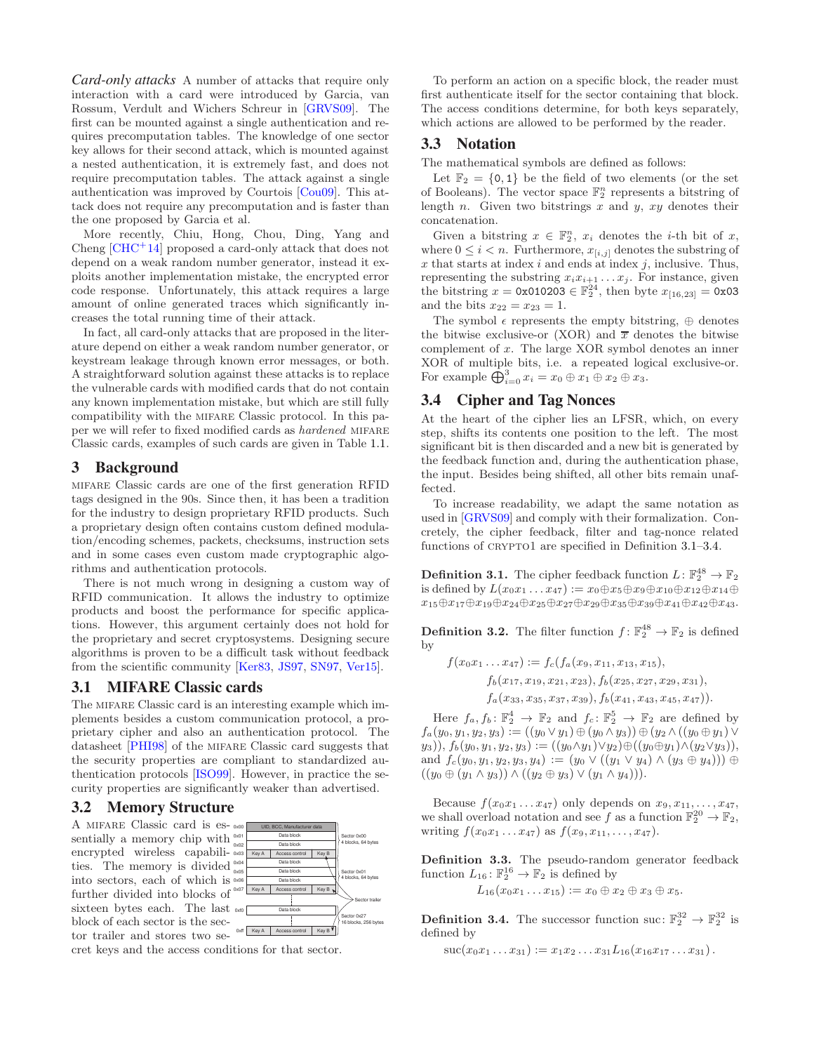*Card-only attacks* A number of attacks that require only interaction with a card were introduced by Garcia, van Rossum, Verdult and Wichers Schreur in [\[GRVS09\]](#page-12-4). The first can be mounted against a single authentication and requires precomputation tables. The knowledge of one sector key allows for their second attack, which is mounted against a nested authentication, it is extremely fast, and does not require precomputation tables. The attack against a single authentication was improved by Courtois [\[Cou09\]](#page-12-5). This attack does not require any precomputation and is faster than the one proposed by Garcia et al.

More recently, Chiu, Hong, Chou, Ding, Yang and Cheng  $[CHC<sup>+</sup>14]$  proposed a card-only attack that does not depend on a weak random number generator, instead it exploits another implementation mistake, the encrypted error code response. Unfortunately, this attack requires a large amount of online generated traces which significantly increases the total running time of their attack.

In fact, all card-only attacks that are proposed in the literature depend on either a weak random number generator, or keystream leakage through known error messages, or both. A straightforward solution against these attacks is to replace the vulnerable cards with modified cards that do not contain any known implementation mistake, but which are still fully compatibility with the mifare Classic protocol. In this paper we will refer to fixed modified cards as hardened MIFARE Classic cards, examples of such cards are given in Table [1.1.](#page-1-0)

# <span id="page-2-0"></span>3 Background

mifare Classic cards are one of the first generation RFID tags designed in the 90s. Since then, it has been a tradition for the industry to design proprietary RFID products. Such a proprietary design often contains custom defined modulation/encoding schemes, packets, checksums, instruction sets and in some cases even custom made cryptographic algorithms and authentication protocols.

There is not much wrong in designing a custom way of RFID communication. It allows the industry to optimize products and boost the performance for specific applications. However, this argument certainly does not hold for the proprietary and secret cryptosystems. Designing secure algorithms is proven to be a difficult task without feedback from the scientific community [\[Ker83,](#page-12-28) [JS97,](#page-12-29) [SN97,](#page-12-30) [Ver15\]](#page-12-31).

# 3.1 MIFARE Classic cards

The MIFARE Classic card is an interesting example which implements besides a custom communication protocol, a proprietary cipher and also an authentication protocol. The datasheet [\[PHI98\]](#page-12-32) of the mifare Classic card suggests that the security properties are compliant to standardized authentication protocols [\[ISO99\]](#page-12-33). However, in practice the security properties are significantly weaker than advertised.

# 3.2 Memory Structure



cret keys and the access conditions for that sector.

To perform an action on a specific block, the reader must first authenticate itself for the sector containing that block. The access conditions determine, for both keys separately, which actions are allowed to be performed by the reader.

# 3.3 Notation

The mathematical symbols are defined as follows:

Let  $\mathbb{F}_2 = \{0, 1\}$  be the field of two elements (or the set of Booleans). The vector space  $\mathbb{F}_2^n$  represents a bitstring of length n. Given two bitstrings x and y, xy denotes their concatenation.

Given a bitstring  $x \in \mathbb{F}_2^n$ ,  $x_i$  denotes the *i*-th bit of  $x$ , where  $0 \leq i < n$ . Furthermore,  $x_{[i,j]}$  denotes the substring of x that starts at index i and ends at index j, inclusive. Thus, representing the substring  $x_i x_{i+1} \ldots x_j$ . For instance, given the bitstring  $x = 0x010203 \in \mathbb{F}_2^{24}$ , then byte  $x_{[16,23]} = 0x03$ and the bits  $x_{22} = x_{23} = 1$ .

The symbol  $\epsilon$  represents the empty bitstring,  $\oplus$  denotes the bitwise exclusive-or (XOR) and  $\bar{x}$  denotes the bitwise complement of x. The large XOR symbol denotes an inner XOR of multiple bits, i.e. a repeated logical exclusive-or. For example  $\bigoplus_{i=0}^{3} x_i = x_0 \oplus x_1 \oplus x_2 \oplus x_3.$ 

# 3.4 Cipher and Tag Nonces

At the heart of the cipher lies an LFSR, which, on every step, shifts its contents one position to the left. The most significant bit is then discarded and a new bit is generated by the feedback function and, during the authentication phase, the input. Besides being shifted, all other bits remain unaffected.

To increase readability, we adapt the same notation as used in [\[GRVS09\]](#page-12-4) and comply with their formalization. Concretely, the cipher feedback, filter and tag-nonce related functions of CRYPTO1 are specified in Definition [3.1](#page-2-1)[–3.4.](#page-2-2)

<span id="page-2-1"></span>**Definition 3.1.** The cipher feedback function  $L: \mathbb{F}_2^{48} \to \mathbb{F}_2$ is defined by  $L(x_0x_1 \ldots x_{47}) := x_0 \oplus x_5 \oplus x_9 \oplus x_{10} \oplus x_{12} \oplus x_{14} \oplus x_{15}$  $x_{15} \oplus x_{17} \oplus x_{19} \oplus x_{24} \oplus x_{25} \oplus x_{27} \oplus x_{29} \oplus x_{35} \oplus x_{39} \oplus x_{41} \oplus x_{42} \oplus x_{43}.$ 

**Definition 3.2.** The filter function  $f: \mathbb{F}_2^{48} \to \mathbb{F}_2$  is defined by

$$
f(x_0x_1 \ldots x_{47}) := f_c(f_a(x_9, x_{11}, x_{13}, x_{15}),
$$
  
\n
$$
f_b(x_{17}, x_{19}, x_{21}, x_{23}), f_b(x_{25}, x_{27}, x_{29}, x_{31}),
$$
  
\n
$$
f_a(x_{33}, x_{35}, x_{37}, x_{39}), f_b(x_{41}, x_{43}, x_{45}, x_{47})).
$$

Here  $f_a, f_b: \mathbb{F}_2^4 \to \mathbb{F}_2$  and  $f_c: \mathbb{F}_2^5 \to \mathbb{F}_2$  are defined by  $f_a(y_0, y_1, y_2, y_3) := ((y_0 \vee y_1) \oplus (y_0 \wedge y_3)) \oplus (y_2 \wedge ((y_0 \oplus y_1) \vee$  $(y_3)$ ),  $f_b(y_0, y_1, y_2, y_3) := ((y_0 \wedge y_1) \vee y_2) \oplus ((y_0 \oplus y_1) \wedge (y_2 \vee y_3)),$ and  $f_c(y_0, y_1, y_2, y_3, y_4) := (y_0 \vee ((y_1 \vee y_4) \wedge (y_3 \oplus y_4))) \oplus$  $((y_0 \oplus (y_1 \wedge y_3)) \wedge ((y_2 \oplus y_3) \vee (y_1 \wedge y_4))).$ 

Because  $f(x_0x_1 \ldots x_{47})$  only depends on  $x_9, x_{11}, \ldots, x_{47}$ , we shall overload notation and see f as a function  $\mathbb{F}_2^{20} \to \mathbb{F}_2$ , writing  $f(x_0x_1 \ldots x_{47})$  as  $f(x_9, x_{11}, \ldots, x_{47})$ .

Definition 3.3. The pseudo-random generator feedback function  $L_{16} : \mathbb{F}_2^{16} \to \mathbb{F}_2$  is defined by

 $L_{16}(x_0x_1 \ldots x_{15}) := x_0 \oplus x_2 \oplus x_3 \oplus x_5.$ 

<span id="page-2-2"></span>**Definition 3.4.** The successor function suc:  $\mathbb{F}_2^{32} \to \mathbb{F}_2^{32}$  is defined by

<span id="page-2-3"></span> $suc(x_0x_1...x_{31}) := x_1x_2...x_{31}L_{16}(x_{16}x_{17}...x_{31}).$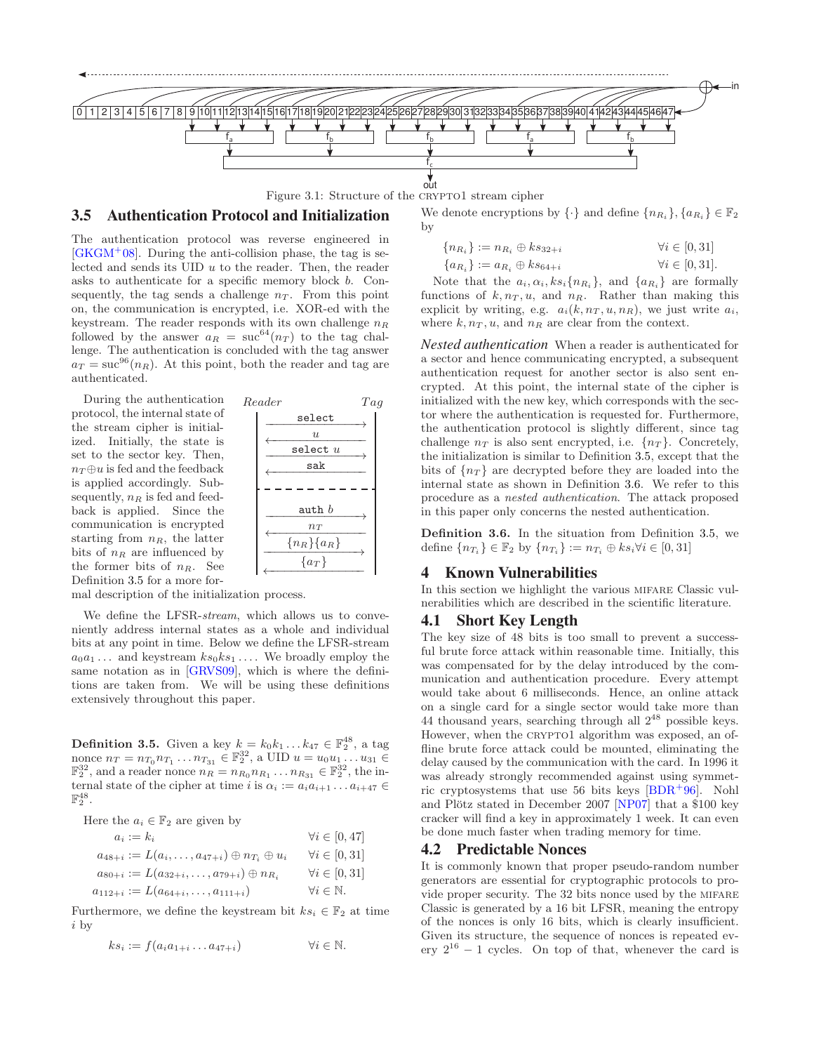<span id="page-3-3"></span>

Figure 3.1: Structure of the CRYPTO1 stream cipher

# 3.5 Authentication Protocol and Initialization

The authentication protocol was reverse engineered in  $[GKGM<sup>+</sup>08]$  $[GKGM<sup>+</sup>08]$ . During the anti-collision phase, the tag is selected and sends its  $UID u$  to the reader. Then, the reader asks to authenticate for a specific memory block b. Consequently, the tag sends a challenge  $n<sub>T</sub>$ . From this point on, the communication is encrypted, i.e. XOR-ed with the keystream. The reader responds with its own challenge  $n_R$ followed by the answer  $a_R = \text{sur}^{64}(n_T)$  to the tag challenge. The authentication is concluded with the tag answer  $a_T = \text{suc}^{96}(n_R)$ . At this point, both the reader and tag are authenticated.

During the authentication protocol, the internal state of the stream cipher is initialized. Initially, the state is set to the sector key. Then,  $n_T \oplus u$  is fed and the feedback is applied accordingly. Subsequently,  $n_R$  is fed and feedback is applied. Since the communication is encrypted starting from  $n_R$ , the latter bits of  $n_R$  are influenced by the former bits of  $n_R$ . See Definition [3.5](#page-3-1) for a more for-



mal description of the initialization process.

We define the LFSR-stream, which allows us to conveniently address internal states as a whole and individual bits at any point in time. Below we define the LFSR-stream  $a_0a_1 \ldots$  and keystream  $ks_0ks_1 \ldots$  We broadly employ the same notation as in [\[GRVS09\]](#page-12-4), which is where the definitions are taken from. We will be using these definitions extensively throughout this paper.

<span id="page-3-1"></span>**Definition 3.5.** Given a key  $k = k_0 k_1 ... k_{47} \in \mathbb{F}_2^{48}$ , a tag nonce  $n_T = n_{T_0} n_{T_1} \dots n_{T_{31}} \in \mathbb{F}_2^{32}$ , a UID  $u = u_0 u_1 \dots u_{31} \in$  $\mathbb{F}_2^{32}$ , and a reader nonce  $n_R = n_{R_0} n_{R_1} \dots n_{R_{31}} \in \mathbb{F}_2^{32}$ , the internal state of the cipher at time i is  $\alpha_i := a_i a_{i+1} \dots a_{i+47} \in$  $\mathbb{F}_2^{48}$ .

Here the  $a_i \in \mathbb{F}_2$  are given by

| $a_i := k_i$                                                     | $\forall i \in [0, 47]$     |
|------------------------------------------------------------------|-----------------------------|
| $a_{48+i} := L(a_i, \ldots, a_{47+i}) \oplus n_{T_i} \oplus u_i$ | $\forall i \in [0,31]$      |
| $a_{80+i} := L(a_{32+i}, \ldots, a_{79+i}) \oplus n_{R_i}$       | $\forall i \in [0, 31]$     |
| $a_{112+i} := L(a_{64+i}, \ldots, a_{111+i})$                    | $\forall i \in \mathbb{N}.$ |

Furthermore, we define the keystream bit  $ks_i \in \mathbb{F}_2$  at time i by

$$
ks_i := f(a_i a_{1+i} \dots a_{47+i}) \qquad \forall i \in \mathbb{N}.
$$

We denote encryptions by  $\{\cdot\}$  and define  $\{n_{R_i}\}, \{a_{R_i}\}\in \mathbb{F}_2$ by

$$
\{n_{R_i}\} := n_{R_i} \oplus ks_{32+i} \qquad \qquad \forall i \in [0,31]
$$

 ${a_{R_i}} := a_{R_i} \oplus ks_{64+i}$   $\forall i \in [0, 31].$ 

Note that the  $a_i, \alpha_i, ks_i\{n_{R_i}\}\$ , and  $\{a_{R_i}\}\$  are formally functions of  $k, n_T, u$ , and  $n_R$ . Rather than making this explicit by writing, e.g.  $a_i(k, n_T, u, n_R)$ , we just write  $a_i$ , where  $k, n_T, u$ , and  $n_R$  are clear from the context.

*Nested authentication* When a reader is authenticated for a sector and hence communicating encrypted, a subsequent authentication request for another sector is also sent encrypted. At this point, the internal state of the cipher is initialized with the new key, which corresponds with the sector where the authentication is requested for. Furthermore, the authentication protocol is slightly different, since tag challenge  $n<sub>T</sub>$  is also sent encrypted, i.e.  $\{n<sub>T</sub>\}$ . Concretely, the initialization is similar to Definition [3.5,](#page-3-1) except that the bits of  $\{n_T\}$  are decrypted before they are loaded into the internal state as shown in Definition [3.6.](#page-3-2) We refer to this procedure as a nested authentication. The attack proposed in this paper only concerns the nested authentication.

<span id="page-3-2"></span>Definition 3.6. In the situation from Definition [3.5,](#page-3-1) we define  $\{n_{T_i}\}\in \mathbb{F}_2$  by  $\{n_{T_i}\}:=n_{T_i}\oplus ks_i\forall i\in [0,31]$ 

# <span id="page-3-0"></span>4 Known Vulnerabilities

In this section we highlight the various MIFARE Classic vulnerabilities which are described in the scientific literature.

# 4.1 Short Key Length

The key size of 48 bits is too small to prevent a successful brute force attack within reasonable time. Initially, this was compensated for by the delay introduced by the communication and authentication procedure. Every attempt would take about 6 milliseconds. Hence, an online attack on a single card for a single sector would take more than 44 thousand years, searching through all  $2^{48}$  possible keys. However, when the CRYPTO1 algorithm was exposed, an offline brute force attack could be mounted, eliminating the delay caused by the communication with the card. In 1996 it was already strongly recommended against using symmetric cryptosystems that use 56 bits keys  $[BDR+96]$ . Nohl and Plötz stated in December 2007 [\[NP07\]](#page-12-34) that a  $$100$  key cracker will find a key in approximately 1 week. It can even be done much faster when trading memory for time.

# <span id="page-3-4"></span>4.2 Predictable Nonces

It is commonly known that proper pseudo-random number generators are essential for cryptographic protocols to provide proper security. The 32 bits nonce used by the mifare Classic is generated by a 16 bit LFSR, meaning the entropy of the nonces is only 16 bits, which is clearly insufficient. Given its structure, the sequence of nonces is repeated every  $2^{16} - 1$  cycles. On top of that, whenever the card is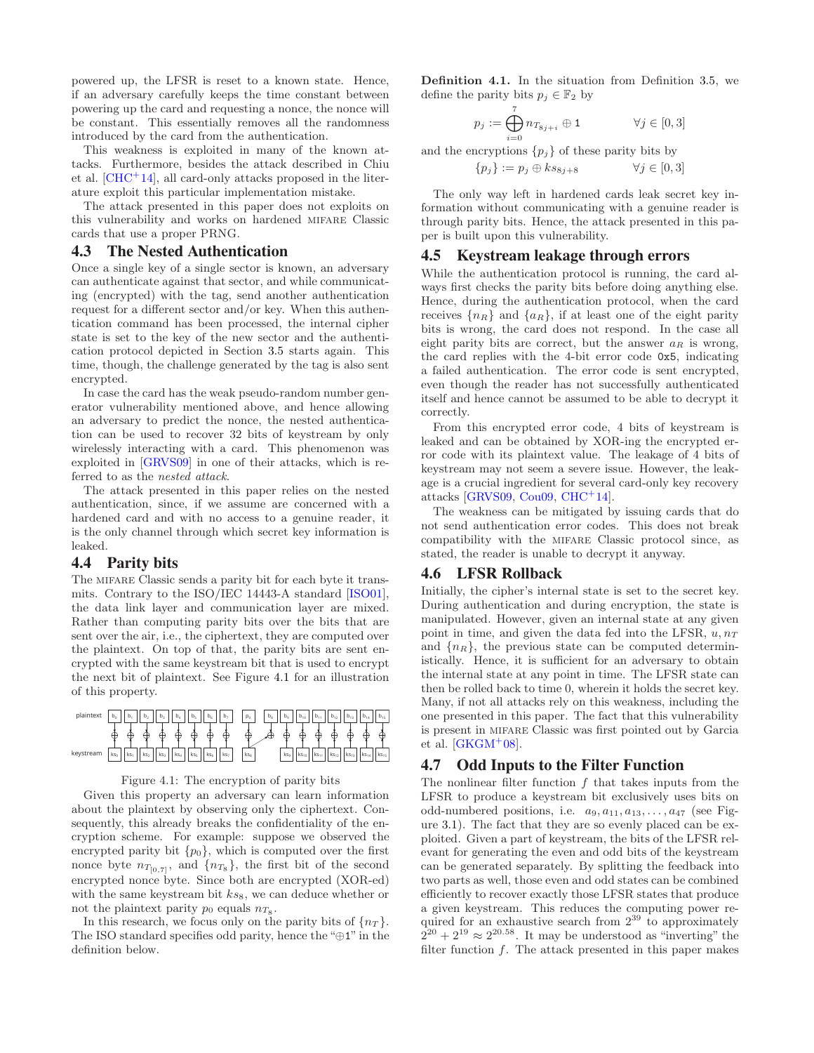powered up, the LFSR is reset to a known state. Hence, if an adversary carefully keeps the time constant between powering up the card and requesting a nonce, the nonce will be constant. This essentially removes all the randomness introduced by the card from the authentication.

This weakness is exploited in many of the known attacks. Furthermore, besides the attack described in Chiu et al.  $[CHC<sup>+</sup>14]$ , all card-only attacks proposed in the literature exploit this particular implementation mistake.

The attack presented in this paper does not exploits on this vulnerability and works on hardened mifare Classic cards that use a proper PRNG.

#### 4.3 The Nested Authentication

Once a single key of a single sector is known, an adversary can authenticate against that sector, and while communicating (encrypted) with the tag, send another authentication request for a different sector and/or key. When this authentication command has been processed, the internal cipher state is set to the key of the new sector and the authentication protocol depicted in Section [3.5](#page-2-3) starts again. This time, though, the challenge generated by the tag is also sent encrypted.

In case the card has the weak pseudo-random number generator vulnerability mentioned above, and hence allowing an adversary to predict the nonce, the nested authentication can be used to recover 32 bits of keystream by only wirelessly interacting with a card. This phenomenon was exploited in [\[GRVS09\]](#page-12-4) in one of their attacks, which is referred to as the nested attack.

The attack presented in this paper relies on the nested authentication, since, if we assume are concerned with a hardened card and with no access to a genuine reader, it is the only channel through which secret key information is leaked.

# 4.4 Parity bits

The MIFARE Classic sends a parity bit for each byte it transmits. Contrary to the ISO/IEC 14443-A standard [\[ISO01\]](#page-12-0), the data link layer and communication layer are mixed. Rather than computing parity bits over the bits that are sent over the air, i.e., the ciphertext, they are computed over the plaintext. On top of that, the parity bits are sent encrypted with the same keystream bit that is used to encrypt the next bit of plaintext. See Figure [4.1](#page-4-0) for an illustration of this property.

<span id="page-4-0"></span>

Figure 4.1: The encryption of parity bits

Given this property an adversary can learn information about the plaintext by observing only the ciphertext. Consequently, this already breaks the confidentiality of the encryption scheme. For example: suppose we observed the encrypted parity bit  $\{p_0\}$ , which is computed over the first nonce byte  $n_{T_{[0,7]}}$ , and  $\{n_{T_8}\}$ , the first bit of the second encrypted nonce byte. Since both are encrypted (XOR-ed) with the same keystream bit  $ks_8$ , we can deduce whether or not the plaintext parity  $p_0$  equals  $n_{T_8}$ .

In this research, we focus only on the parity bits of  $\{n_T\}$ . The ISO standard specifies odd parity, hence the "⊕1" in the definition below.

<span id="page-4-3"></span>Definition 4.1. In the situation from Definition [3.5,](#page-3-1) we define the parity bits  $p_i \in \mathbb{F}_2$  by

$$
p_j := \bigoplus_{i=0}^7 n_{T_{8j+i}} \oplus 1 \qquad \forall j \in [0,3]
$$

and the encryptions  $\{p_i\}$  of these parity bits by  ${p_i} := p_i \oplus ks_{8j+8} \qquad \forall j \in [0,3]$ 

The only way left in hardened cards leak secret key information without communicating with a genuine reader is through parity bits. Hence, the attack presented in this paper is built upon this vulnerability.

#### <span id="page-4-1"></span>4.5 Keystream leakage through errors

While the authentication protocol is running, the card always first checks the parity bits before doing anything else. Hence, during the authentication protocol, when the card receives  $\{n_R\}$  and  $\{a_R\}$ , if at least one of the eight parity bits is wrong, the card does not respond. In the case all eight parity bits are correct, but the answer  $a_R$  is wrong, the card replies with the 4-bit error code 0x5, indicating a failed authentication. The error code is sent encrypted, even though the reader has not successfully authenticated itself and hence cannot be assumed to be able to decrypt it correctly.

From this encrypted error code, 4 bits of keystream is leaked and can be obtained by XOR-ing the encrypted error code with its plaintext value. The leakage of 4 bits of keystream may not seem a severe issue. However, the leakage is a crucial ingredient for several card-only key recovery attacks [\[GRVS09,](#page-12-4) [Cou09,](#page-12-5) [CHC](#page-11-0)<sup>+</sup>14].

The weakness can be mitigated by issuing cards that do not send authentication error codes. This does not break compatibility with the mifare Classic protocol since, as stated, the reader is unable to decrypt it anyway.

# <span id="page-4-2"></span>4.6 LFSR Rollback

Initially, the cipher's internal state is set to the secret key. During authentication and during encryption, the state is manipulated. However, given an internal state at any given point in time, and given the data fed into the LFSR,  $u, n_T$ and  $\{n_R\}$ , the previous state can be computed deterministically. Hence, it is sufficient for an adversary to obtain the internal state at any point in time. The LFSR state can then be rolled back to time 0, wherein it holds the secret key. Many, if not all attacks rely on this weakness, including the one presented in this paper. The fact that this vulnerability is present in mifare Classic was first pointed out by Garcia et al.  $[GKGM<sup>+</sup>08]$ .

## <span id="page-4-4"></span>4.7 Odd Inputs to the Filter Function

The nonlinear filter function  $f$  that takes inputs from the LFSR to produce a keystream bit exclusively uses bits on odd-numbered positions, i.e.  $a_9, a_{11}, a_{13}, \ldots, a_{47}$  (see Figure [3.1\)](#page-3-3). The fact that they are so evenly placed can be exploited. Given a part of keystream, the bits of the LFSR relevant for generating the even and odd bits of the keystream can be generated separately. By splitting the feedback into two parts as well, those even and odd states can be combined efficiently to recover exactly those LFSR states that produce a given keystream. This reduces the computing power required for an exhaustive search from  $2^{39}$  to approximately  $2^{20} + 2^{19} \approx 2^{20.58}$ . It may be understood as "inverting" the filter function  $f$ . The attack presented in this paper makes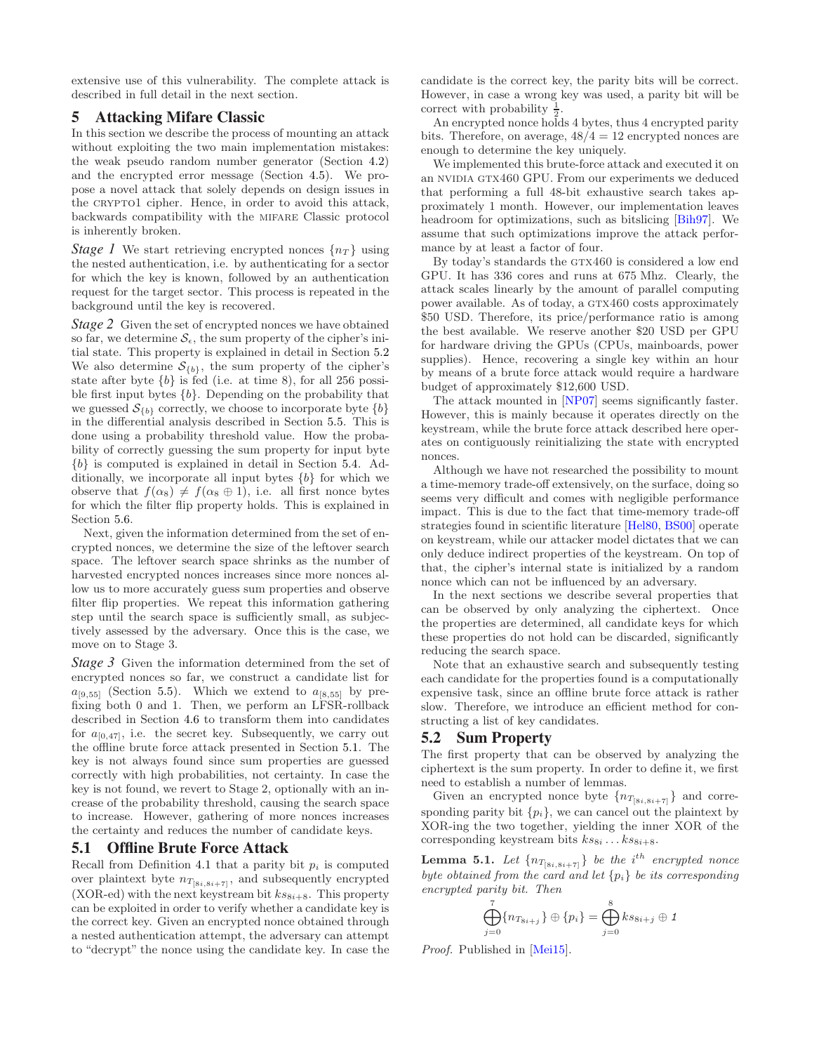<span id="page-5-0"></span>extensive use of this vulnerability. The complete attack is described in full detail in the next section.

# 5 Attacking Mifare Classic

In this section we describe the process of mounting an attack without exploiting the two main implementation mistakes: the weak pseudo random number generator (Section [4.2\)](#page-3-4) and the encrypted error message (Section [4.5\)](#page-4-1). We propose a novel attack that solely depends on design issues in the CRYPTO1 cipher. Hence, in order to avoid this attack, backwards compatibility with the mifare Classic protocol is inherently broken.

*Stage 1* We start retrieving encrypted nonces  $\{n_T\}$  using the nested authentication, i.e. by authenticating for a sector for which the key is known, followed by an authentication request for the target sector. This process is repeated in the background until the key is recovered.

*Stage 2* Given the set of encrypted nonces we have obtained so far, we determine  $S_{\epsilon}$ , the sum property of the cipher's initial state. This property is explained in detail in Section [5.2](#page-5-1) We also determine  $S_{\{b\}}$ , the sum property of the cipher's state after byte  $\{b\}$  is fed (i.e. at time 8), for all 256 possible first input bytes  ${b}$ . Depending on the probability that we guessed  $S_{\{b\}}$  correctly, we choose to incorporate byte  $\{b\}$ in the differential analysis described in Section [5.5.](#page-8-0) This is done using a probability threshold value. How the probability of correctly guessing the sum property for input byte {b} is computed is explained in detail in Section [5.4.](#page-7-0) Additionally, we incorporate all input bytes  $\{b\}$  for which we observe that  $f(\alpha_8) \neq f(\alpha_8 \oplus 1)$ , i.e. all first nonce bytes for which the filter flip property holds. This is explained in Section [5.6.](#page-9-0)

Next, given the information determined from the set of encrypted nonces, we determine the size of the leftover search space. The leftover search space shrinks as the number of harvested encrypted nonces increases since more nonces allow us to more accurately guess sum properties and observe filter flip properties. We repeat this information gathering step until the search space is sufficiently small, as subjectively assessed by the adversary. Once this is the case, we move on to Stage 3.

*Stage 3* Given the information determined from the set of encrypted nonces so far, we construct a candidate list for  $a_{[9,55]}$  (Section [5.5\)](#page-8-0). Which we extend to  $a_{[8,55]}$  by prefixing both 0 and 1. Then, we perform an LFSR-rollback described in Section [4.6](#page-4-2) to transform them into candidates for  $a_{[0,47]}$ , i.e. the secret key. Subsequently, we carry out the offline brute force attack presented in Section [5.1.](#page-5-2) The key is not always found since sum properties are guessed correctly with high probabilities, not certainty. In case the key is not found, we revert to Stage 2, optionally with an increase of the probability threshold, causing the search space to increase. However, gathering of more nonces increases the certainty and reduces the number of candidate keys.

## <span id="page-5-2"></span>5.1 Offline Brute Force Attack

Recall from Definition [4.1](#page-4-3) that a parity bit  $p_i$  is computed over plaintext byte  $n_{T_{[8i,8i+7]}}$ , and subsequently encrypted (XOR-ed) with the next keystream bit  $ks_{8i+8}$ . This property can be exploited in order to verify whether a candidate key is the correct key. Given an encrypted nonce obtained through a nested authentication attempt, the adversary can attempt to "decrypt" the nonce using the candidate key. In case the candidate is the correct key, the parity bits will be correct. However, in case a wrong key was used, a parity bit will be correct with probability  $\frac{1}{2}$ .

An encrypted nonce holds 4 bytes, thus 4 encrypted parity bits. Therefore, on average,  $48/4 = 12$  encrypted nonces are enough to determine the key uniquely.

We implemented this brute-force attack and executed it on an NVIDIA GTX460 GPU. From our experiments we deduced that performing a full 48-bit exhaustive search takes approximately 1 month. However, our implementation leaves headroom for optimizations, such as bitslicing [\[Bih97\]](#page-11-7). We assume that such optimizations improve the attack performance by at least a factor of four.

By today's standards the GTX460 is considered a low end GPU. It has 336 cores and runs at 675 Mhz. Clearly, the attack scales linearly by the amount of parallel computing power available. As of today, a GTX460 costs approximately \$50 USD. Therefore, its price/performance ratio is among the best available. We reserve another \$20 USD per GPU for hardware driving the GPUs (CPUs, mainboards, power supplies). Hence, recovering a single key within an hour by means of a brute force attack would require a hardware budget of approximately \$12,600 USD.

The attack mounted in [\[NP07\]](#page-12-34) seems significantly faster. However, this is mainly because it operates directly on the keystream, while the brute force attack described here operates on contiguously reinitializing the state with encrypted nonces.

Although we have not researched the possibility to mount a time-memory trade-off extensively, on the surface, doing so seems very difficult and comes with negligible performance impact. This is due to the fact that time-memory trade-off strategies found in scientific literature [\[Hel80,](#page-12-35) [BS00\]](#page-11-8) operate on keystream, while our attacker model dictates that we can only deduce indirect properties of the keystream. On top of that, the cipher's internal state is initialized by a random nonce which can not be influenced by an adversary.

In the next sections we describe several properties that can be observed by only analyzing the ciphertext. Once the properties are determined, all candidate keys for which these properties do not hold can be discarded, significantly reducing the search space.

Note that an exhaustive search and subsequently testing each candidate for the properties found is a computationally expensive task, since an offline brute force attack is rather slow. Therefore, we introduce an efficient method for constructing a list of key candidates.

# <span id="page-5-1"></span>5.2 Sum Property

The first property that can be observed by analyzing the ciphertext is the sum property. In order to define it, we first need to establish a number of lemmas.

Given an encrypted nonce byte  $\{n_{T_{[8i,8i+7]}}\}$  and corresponding parity bit  $\{p_i\}$ , we can cancel out the plaintext by XOR-ing the two together, yielding the inner XOR of the corresponding keystream bits  $ks_{8i} \dots ks_{8i+8}$ .

<span id="page-5-3"></span>**Lemma 5.1.** Let  $\{n_{T_{[8i, 8i+7]}}\}$  be the i<sup>th</sup> encrypted nonce byte obtained from the card and let  $\{p_i\}$  be its corresponding encrypted parity bit. Then

$$
\bigoplus_{j=0}^{7} \{ n_{Ts_{i+j}} \} \oplus \{ p_i \} = \bigoplus_{j=0}^{8} k s_{8i+j} \oplus 1
$$

Proof. Published in [\[Mei15\]](#page-12-36).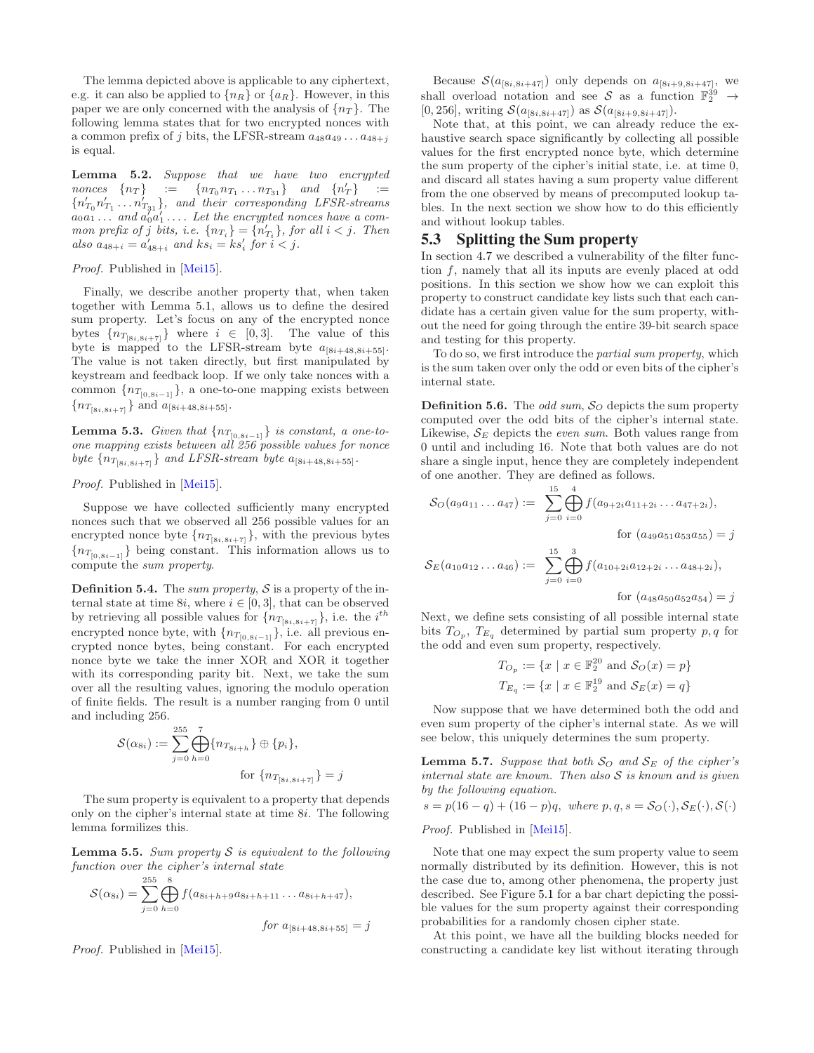The lemma depicted above is applicable to any ciphertext, e.g. it can also be applied to  $\{n_R\}$  or  $\{a_R\}$ . However, in this paper we are only concerned with the analysis of  $\{n_T\}$ . The following lemma states that for two encrypted nonces with a common prefix of j bits, the LFSR-stream  $a_{48}a_{49} \ldots a_{48+i}$ is equal.

<span id="page-6-4"></span>Lemma 5.2. Suppose that we have two encrypted nonces  $\{n_T\}$  :=  $\{n_{T_0}n_{T_1} \ldots n_{T_{31}}\}$  and  $\{n'_T\}$  :=  ${n'_{T_0}n'_{T_1} \ldots n'_{T_{31}}},$  and their corresponding LFSR-streams  $a_0a_1 \ldots$  and  $a_0'a_1' \ldots$  Let the encrypted nonces have a common prefix of j bits, i.e.  $\{n_{T_i}\} = \{n'_{T_i}\}\$ , for all  $i < j$ . Then also  $a_{48+i} = a'_{48+i}$  and  $ks_i = ks'_i$  for  $i < j$ .

Proof. Published in [\[Mei15\]](#page-12-36).

Finally, we describe another property that, when taken together with Lemma [5.1,](#page-5-3) allows us to define the desired sum property. Let's focus on any of the encrypted nonce bytes  ${n_{T_{[8i,8i+7]}}}$  where  $i \in [0,3]$ . The value of this byte is mapped to the LFSR-stream byte  $a_{[8i+48,8i+55]}$ . The value is not taken directly, but first manipulated by keystream and feedback loop. If we only take nonces with a common  $\{n_{T_{[0,8i-1]}}\}$ , a one-to-one mapping exists between  ${n_{T_{[8i,8i+7]}}}$  and  $a_{[8i+48,8i+55]}$ .

<span id="page-6-2"></span>**Lemma 5.3.** Given that  $\{n_{T_{[0,8i-1]}}\}$  is constant, a one-toone mapping exists between all 256 possible values for nonce byte  $\{n_{T_{[8i,8i+7]}}\}$  and LFSR-stream byte  $a_{[8i+48,8i+55]}$ .

Proof. Published in [\[Mei15\]](#page-12-36).

Suppose we have collected sufficiently many encrypted nonces such that we observed all 256 possible values for an encrypted nonce byte  $\{n_{T_{[8i,8i+7]}}\}$ , with the previous bytes  ${n_{T_{[0,8i-1]}}}$  being constant. This information allows us to compute the sum property.

**Definition 5.4.** The sum property,  $S$  is a property of the internal state at time 8i, where  $i \in [0,3]$ , that can be observed by retrieving all possible values for  $\{n_{T_{[8i,8i+7]}}\}$ , i.e. the  $i^{th}$ encrypted nonce byte, with  $\{n_{T_{[0,8i-1]}}\}$ , i.e. all previous encrypted nonce bytes, being constant. For each encrypted nonce byte we take the inner XOR and XOR it together with its corresponding parity bit. Next, we take the sum over all the resulting values, ignoring the modulo operation of finite fields. The result is a number ranging from 0 until and including 256.

$$
\mathcal{S}(\alpha_{8i}) := \sum_{j=0}^{255} \bigoplus_{h=0}^{7} \{n_{T_{8i+h}}\} \oplus \{p_i\},\
$$
  
for  $\{n_{T_{8i,8i+7j}}\} = j$ 

The sum property is equivalent to a property that depends only on the cipher's internal state at time 8i. The following lemma formilizes this.

<span id="page-6-0"></span>**Lemma 5.5.** Sum property S is equivalent to the following function over the cipher's internal state

$$
S(\alpha_{8i}) = \sum_{j=0}^{255} \bigoplus_{h=0}^{8} f(a_{8i+h+9}a_{8i+h+11} \dots a_{8i+h+47}),
$$
  
for  $a_{8i+48.8i+551} = j$ 

Proof. Published in [\[Mei15\]](#page-12-36).

Because  $\mathcal{S}(a_{[8i,8i+47]})$  only depends on  $a_{[8i+9,8i+47]}$ , we shall overload notation and see S as a function  $\mathbb{F}_2^{39} \rightarrow$  $[0, 256]$ , writing  $\mathcal{S}(a_{[8i,8i+47]})$  as  $\mathcal{S}(a_{[8i+9,8i+47]})$ .

Note that, at this point, we can already reduce the exhaustive search space significantly by collecting all possible values for the first encrypted nonce byte, which determine the sum property of the cipher's initial state, i.e. at time 0, and discard all states having a sum property value different from the one observed by means of precomputed lookup tables. In the next section we show how to do this efficiently and without lookup tables.

## <span id="page-6-3"></span>5.3 Splitting the Sum property

In section [4.7](#page-4-4) we described a vulnerability of the filter function f, namely that all its inputs are evenly placed at odd positions. In this section we show how we can exploit this property to construct candidate key lists such that each candidate has a certain given value for the sum property, without the need for going through the entire 39-bit search space and testing for this property.

To do so, we first introduce the partial sum property, which is the sum taken over only the odd or even bits of the cipher's internal state.

**Definition 5.6.** The *odd sum,*  $S_O$  depicts the sum property computed over the odd bits of the cipher's internal state. Likewise,  $\mathcal{S}_E$  depicts the *even sum*. Both values range from 0 until and including 16. Note that both values are do not share a single input, hence they are completely independent of one another. They are defined as follows.

$$
\mathcal{S}_O(a_9a_{11} \dots a_{47}) := \sum_{j=0}^{15} \bigoplus_{i=0}^4 f(a_{9+2i}a_{11+2i} \dots a_{47+2i}),
$$
  
for  $(a_{49}a_{51}a_{53}a_{55}) = j$ 

$$
\mathcal{S}_E(a_{10}a_{12}\ldots a_{46}):=\sum_{j=0}^{15}\bigoplus_{i=0}^3 f(a_{10+2i}a_{12+2i}\ldots a_{48+2i}),
$$

for  $(a_{48}a_{50}a_{52}a_{54}) = j$ 

Next, we define sets consisting of all possible internal state bits  $T_{O_p}$ ,  $T_{E_q}$  determined by partial sum property p, q for the odd and even sum property, respectively.

$$
T_{O_p} := \{x \mid x \in \mathbb{F}_2^{20} \text{ and } \mathcal{S}_O(x) = p\}
$$
  
\n $T_{E_q} := \{x \mid x \in \mathbb{F}_2^{19} \text{ and } \mathcal{S}_E(x) = q\}$ 

Now suppose that we have determined both the odd and even sum property of the cipher's internal state. As we will see below, this uniquely determines the sum property.

<span id="page-6-1"></span>**Lemma 5.7.** Suppose that both  $S_O$  and  $S_E$  of the cipher's internal state are known. Then also  $S$  is known and is given by the following equation.

$$
s = p(16-q) + (16-p)q, where p, q, s = S_O(\cdot), S_E(\cdot), S(\cdot)
$$

Proof. Published in [\[Mei15\]](#page-12-36).

Note that one may expect the sum property value to seem normally distributed by its definition. However, this is not the case due to, among other phenomena, the property just described. See Figure [5.1](#page-7-1) for a bar chart depicting the possible values for the sum property against their corresponding probabilities for a randomly chosen cipher state.

At this point, we have all the building blocks needed for constructing a candidate key list without iterating through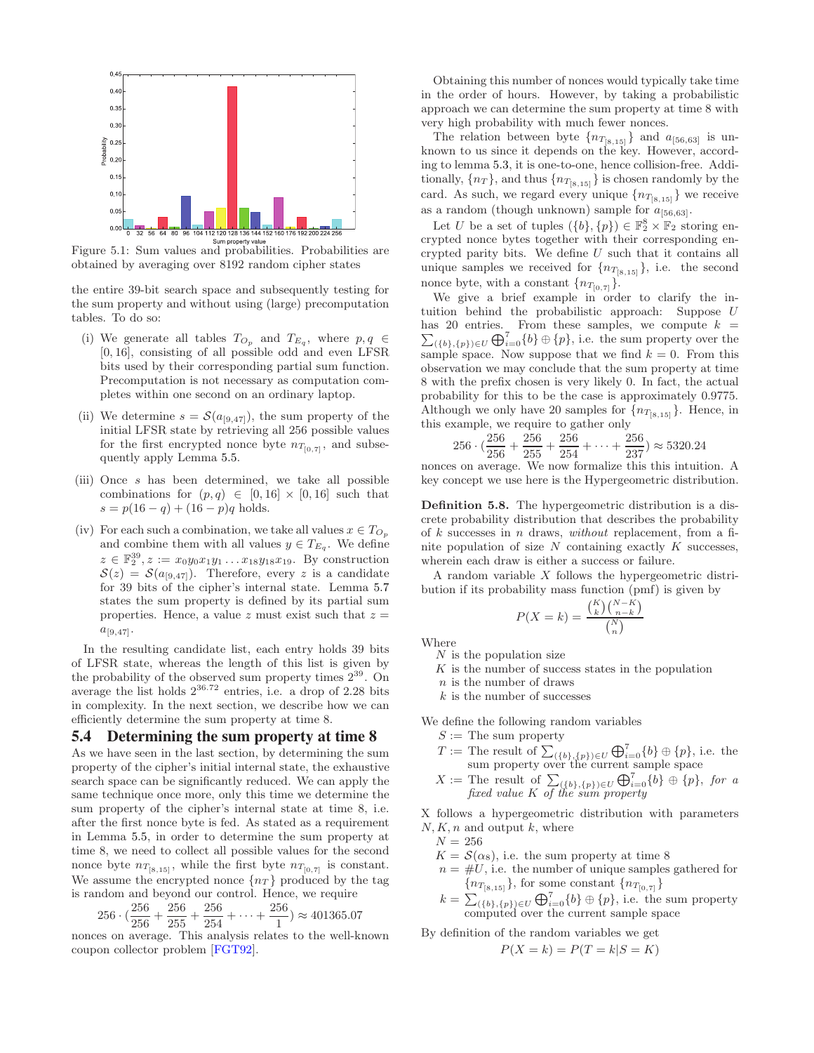<span id="page-7-1"></span>

Figure 5.1: Sum values and probabilities. Probabilities are obtained by averaging over 8192 random cipher states

the entire 39-bit search space and subsequently testing for the sum property and without using (large) precomputation tables. To do so:

- (i) We generate all tables  $T_{O_p}$  and  $T_{E_q}$ , where  $p, q \in$ [0, 16], consisting of all possible odd and even LFSR bits used by their corresponding partial sum function. Precomputation is not necessary as computation completes within one second on an ordinary laptop.
- (ii) We determine  $s = \mathcal{S}(a_{[9,47]})$ , the sum property of the initial LFSR state by retrieving all 256 possible values for the first encrypted nonce byte  $n_{T_{[0,7]}}$ , and subsequently apply Lemma [5.5.](#page-6-0)
- (iii) Once s has been determined, we take all possible combinations for  $(p, q) \in [0, 16] \times [0, 16]$  such that  $s = p(16 - q) + (16 - p)q$  holds.
- (iv) For each such a combination, we take all values  $x \in T_{O_n}$ and combine them with all values  $y \in T_{E_q}$ . We define  $z \in \mathbb{F}_2^{39}, z := x_0 y_0 x_1 y_1 \dots x_{18} y_{18} x_{19}$ . By construction  $S(z) = S(a_{[9,47]})$ . Therefore, every z is a candidate for 39 bits of the cipher's internal state. Lemma [5.7](#page-6-1) states the sum property is defined by its partial sum properties. Hence, a value z must exist such that  $z =$  $a_{[9,47]}$ .

In the resulting candidate list, each entry holds 39 bits of LFSR state, whereas the length of this list is given by the probability of the observed sum property times  $2^{39}$ . On average the list holds  $2^{36.72}$  entries, i.e. a drop of 2.28 bits in complexity. In the next section, we describe how we can efficiently determine the sum property at time 8.

# <span id="page-7-0"></span>5.4 Determining the sum property at time 8

As we have seen in the last section, by determining the sum property of the cipher's initial internal state, the exhaustive search space can be significantly reduced. We can apply the same technique once more, only this time we determine the sum property of the cipher's internal state at time 8, i.e. after the first nonce byte is fed. As stated as a requirement in Lemma [5.5,](#page-6-0) in order to determine the sum property at time 8, we need to collect all possible values for the second nonce byte  $n_{T_{[8,15]}}$ , while the first byte  $n_{T_{[0,7]}}$  is constant. We assume the encrypted nonce  $\{n_T\}$  produced by the tag is random and beyond our control. Hence, we require

$$
256 \cdot \left(\frac{256}{256} + \frac{256}{255} + \frac{256}{254} + \dots + \frac{256}{1}\right) \approx 401365.07
$$

nonces on average. This analysis relates to the well-known coupon collector problem [\[FGT92\]](#page-12-37).

Obtaining this number of nonces would typically take time in the order of hours. However, by taking a probabilistic approach we can determine the sum property at time 8 with very high probability with much fewer nonces.

The relation between byte  $\{n_{T_{[8,15]}}\}$  and  $a_{[56,63]}$  is unknown to us since it depends on the key. However, according to lemma [5.3,](#page-6-2) it is one-to-one, hence collision-free. Additionally,  $\{n_T\}$ , and thus  $\{n_{T_{[8,15]}}\}$  is chosen randomly by the card. As such, we regard every unique  $\{n_{T_{[8,15]}}\}$  we receive as a random (though unknown) sample for  $a_{[56,63]}$ .

Let U be a set of tuples  $({b}, {p}) \in \mathbb{F}_2^8 \times \mathbb{F}_2$  storing encrypted nonce bytes together with their corresponding encrypted parity bits. We define  $U$  such that it contains all unique samples we received for  $\{n_{T_{[8,15]}}\}$ , i.e. the second nonce byte, with a constant  $\{n_{T_{[0,7]}}\}.$ 

We give a brief example in order to clarify the intuition behind the probabilistic approach: Suppose U has 20 entries. From these samples, we compute  $k =$  $\sum_{(\{b\},\{p\})\in U} \bigoplus_{i=0}^7 \{b\} \oplus \{p\},\$ i.e. the sum property over the sample space. Now suppose that we find  $k = 0$ . From this observation we may conclude that the sum property at time 8 with the prefix chosen is very likely 0. In fact, the actual probability for this to be the case is approximately 0.9775. Although we only have 20 samples for  $\{n_{T_{[8,15]}}\}$ . Hence, in this example, we require to gather only

$$
256 \cdot \left(\frac{256}{256} + \frac{256}{255} + \frac{256}{254} + \dots + \frac{256}{237}\right) \approx 5320.24
$$

nonces on average. We now formalize this this intuition. A key concept we use here is the Hypergeometric distribution.

Definition 5.8. The hypergeometric distribution is a discrete probability distribution that describes the probability of  $k$  successes in  $n$  draws, without replacement, from a finite population of size  $N$  containing exactly  $K$  successes, wherein each draw is either a success or failure.

A random variable X follows the hypergeometric distribution if its probability mass function (pmf) is given by

$$
P(X=k) = \frac{\binom{K}{k}\binom{N-K}{n-k}}{\binom{N}{n}}
$$

**Where** 

- $N$  is the population size  $K$  is the number of success states in the population
- $n$  is the number of draws
- $k$  is the number of successes

We define the following random variables

- $S :=$  The sum property
- T := The result of  $\sum_{(\{b\},\{p\})\in U}\bigoplus_{i=0}^{7}\{b\}\oplus\{p\},$  i.e. the sum property over the current sample space
- $X :=$  The result of  $\sum_{(\{b\},\{p\})\in U} \bigoplus_{i=0}^{7} \{b\} \oplus \{p\},\$  for a fixed value K of the sum property

X follows a hypergeometric distribution with parameters  $N, K, n$  and output k, where

$$
N = 256
$$

- $K = \mathcal{S}(\alpha_8)$ , i.e. the sum property at time 8
- $n = #U$ , i.e. the number of unique samples gathered for  ${n_{T_{[8,15]}}}$ , for some constant  ${n_{T_{[0,7]}}}$
- $k = \sum_{(\{b\},\{p\})\in U} \bigoplus_{i=0}^{7} \{b\} \oplus \{p\},\$ i.e. the sum property computed over the current sample space

By definition of the random variables we get

$$
P(X = k) = P(T = k|S = K)
$$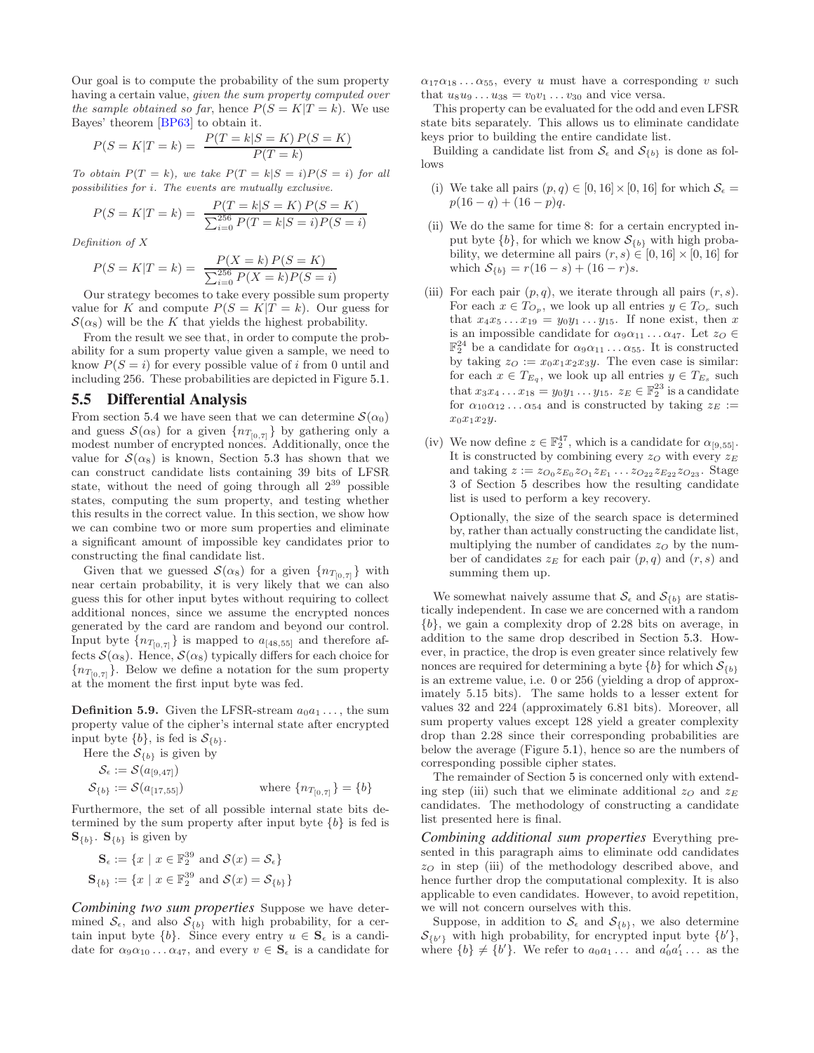Our goal is to compute the probability of the sum property having a certain value, given the sum property computed over the sample obtained so far, hence  $P(S = K|T = k)$ . We use Bayes' theorem [\[BP63\]](#page-11-9) to obtain it.

$$
P(S = K|T = k) = \frac{P(T = k|S = K) P(S = K)}{P(T = k)}
$$

To obtain  $P(T = k)$ , we take  $P(T = k|S = i)P(S = i)$  for all possibilities for i. The events are mutually exclusive.

$$
P(S = K|T = k) = \frac{P(T = k|S = K) P(S = K)}{\sum_{i=0}^{256} P(T = k|S = i) P(S = i)}
$$

Definition of X

$$
P(S = K|T = k) = \frac{P(X = k) P(S = K)}{\sum_{i=0}^{256} P(X = k) P(S = i)}
$$

Our strategy becomes to take every possible sum property value for K and compute  $P(S = K|T = k)$ . Our guess for  $\mathcal{S}(\alpha_8)$  will be the K that yields the highest probability.

From the result we see that, in order to compute the probability for a sum property value given a sample, we need to know  $P(S = i)$  for every possible value of i from 0 until and including 256. These probabilities are depicted in Figure [5.1.](#page-7-1)

## <span id="page-8-0"></span>5.5 Differential Analysis

From section [5.4](#page-7-0) we have seen that we can determine  $\mathcal{S}(\alpha_0)$ and guess  $\mathcal{S}(\alpha_8)$  for a given  $\{n_{T_{[0,7]}}\}$  by gathering only a modest number of encrypted nonces. Additionally, once the value for  $S(\alpha_8)$  is known, Section [5.3](#page-6-3) has shown that we can construct candidate lists containing 39 bits of LFSR state, without the need of going through all 2<sup>39</sup> possible states, computing the sum property, and testing whether this results in the correct value. In this section, we show how we can combine two or more sum properties and eliminate a significant amount of impossible key candidates prior to constructing the final candidate list.

Given that we guessed  $\mathcal{S}(\alpha_8)$  for a given  $\{n_{T_{[0,7]}}\}$  with near certain probability, it is very likely that we can also guess this for other input bytes without requiring to collect additional nonces, since we assume the encrypted nonces generated by the card are random and beyond our control. Input byte  $\{n_{T_{[0,7]}}\}$  is mapped to  $a_{[48,55]}$  and therefore affects  $\mathcal{S}(\alpha_8)$ . Hence,  $\mathcal{S}(\alpha_8)$  typically differs for each choice for  ${n_{T_{[0,7]}}}$ . Below we define a notation for the sum property at the moment the first input byte was fed.

<span id="page-8-1"></span>**Definition 5.9.** Given the LFSR-stream  $a_0a_1 \ldots$ , the sum property value of the cipher's internal state after encrypted input byte  $\{b\}$ , is fed is  $S_{\{b\}}$ .

Here the  $S_{\{b\}}$  is given by

 $\mathcal{S}_{\epsilon} := \mathcal{S}(a_{[9,47]})$  $S_{\{b\}} := S(a_{[17,55]})$  where  $\{n_{T_{[0,7]}}\} = \{b\}$ 

Furthermore, the set of all possible internal state bits determined by the sum property after input byte  ${b}$  is fed is  $\mathbf{S}_{\{b\}}$ .  $\mathbf{S}_{\{b\}}$  is given by

$$
\mathbf{S}_{\epsilon} := \{x \mid x \in \mathbb{F}_2^{39} \text{ and } \mathcal{S}(x) = \mathcal{S}_{\epsilon}\}
$$

$$
\mathbf{S}_{\{b\}} := \{x \mid x \in \mathbb{F}_2^{39} \text{ and } \mathcal{S}(x) = \mathcal{S}_{\{b\}}\}
$$

*Combining two sum properties* Suppose we have determined  $S_{\epsilon}$ , and also  $S_{\{b\}}$  with high probability, for a certain input byte  $\{b\}$ . Since every entry  $u \in \mathbf{S}_{\epsilon}$  is a candidate for  $\alpha_9 \alpha_{10} \ldots \alpha_{47}$ , and every  $v \in \mathbf{S}_{\epsilon}$  is a candidate for

 $\alpha_{17}\alpha_{18}\ldots\alpha_{55}$ , every u must have a corresponding v such that  $u_8u_9 \ldots u_{38} = v_0v_1 \ldots v_{30}$  and vice versa.

This property can be evaluated for the odd and even LFSR state bits separately. This allows us to eliminate candidate keys prior to building the entire candidate list.

Building a candidate list from  $S_{\epsilon}$  and  $S_{\{b\}}$  is done as follows

- (i) We take all pairs  $(p, q) \in [0, 16] \times [0, 16]$  for which  $S_{\epsilon} =$  $p(16 - q) + (16 - p)q.$
- (ii) We do the same for time 8: for a certain encrypted input byte  ${b}$ , for which we know  $S_{\{b\}}$  with high probability, we determine all pairs  $(r, s) \in [0, 16] \times [0, 16]$  for which  $S_{\{b\}} = r(16 - s) + (16 - r)s$ .
- (iii) For each pair  $(p, q)$ , we iterate through all pairs  $(r, s)$ . For each  $x \in T_{O_p}$ , we look up all entries  $y \in T_{O_r}$  such that  $x_4x_5...x_{19} = y_0y_1...y_{15}$ . If none exist, then x is an impossible candidate for  $\alpha_9 \alpha_{11} \dots \alpha_{47}$ . Let  $z_O \in$  $\mathbb{F}_2^{24}$  be a candidate for  $\alpha_9\alpha_{11} \ldots \alpha_{55}$ . It is constructed by taking  $z_O := x_0 x_1 x_2 x_3 y$ . The even case is similar: for each  $x \in T_{E_q}$ , we look up all entries  $y \in T_{E_s}$  such that  $x_3x_4 \ldots x_{18} = y_0y_1 \ldots y_{15}$ .  $z_E \in \mathbb{F}_2^{23}$  is a candidate for  $\alpha_{10}\alpha_{12}\ldots \alpha_{54}$  and is constructed by taking  $z_E :=$  $x_0x_1x_2y.$
- (iv) We now define  $z \in \mathbb{F}_2^{47}$ , which is a candidate for  $\alpha_{[9,55]}$ . It is constructed by combining every  $z_O$  with every  $z_E$ and taking  $z := z_{O_0} z_{E_0} z_{O_1} z_{E_1} \dots z_{O_{22}} z_{E_{22}} z_{O_{23}}$ . Stage 3 of Section [5](#page-5-0) describes how the resulting candidate list is used to perform a key recovery.

Optionally, the size of the search space is determined by, rather than actually constructing the candidate list, multiplying the number of candidates  $z<sub>O</sub>$  by the number of candidates  $z_E$  for each pair  $(p, q)$  and  $(r, s)$  and summing them up.

We somewhat naively assume that  $\mathcal{S}_{\epsilon}$  and  $\mathcal{S}_{\{b\}}$  are statistically independent. In case we are concerned with a random  ${b}$ , we gain a complexity drop of 2.28 bits on average, in addition to the same drop described in Section [5.3.](#page-6-3) However, in practice, the drop is even greater since relatively few nonces are required for determining a byte  ${b}$  for which  $S_{b}$ is an extreme value, i.e. 0 or 256 (yielding a drop of approximately 5.15 bits). The same holds to a lesser extent for values 32 and 224 (approximately 6.81 bits). Moreover, all sum property values except 128 yield a greater complexity drop than 2.28 since their corresponding probabilities are below the average (Figure [5.1\)](#page-7-1), hence so are the numbers of corresponding possible cipher states.

The remainder of Section [5](#page-5-0) is concerned only with extending step (iii) such that we eliminate additional  $z<sub>O</sub>$  and  $z<sub>E</sub>$ candidates. The methodology of constructing a candidate list presented here is final.

*Combining additional sum properties* Everything presented in this paragraph aims to eliminate odd candidates  $z<sub>O</sub>$  in step (iii) of the methodology described above, and hence further drop the computational complexity. It is also applicable to even candidates. However, to avoid repetition, we will not concern ourselves with this.

Suppose, in addition to  $S_{\epsilon}$  and  $S_{\{b\}}$ , we also determine  $S_{\{b'\}}$  with high probability, for encrypted input byte  $\{b'\},$ where  $\{b\} \neq \{b'\}$ . We refer to  $a_0a_1 \ldots$  and  $a'_0a'_1 \ldots$  as the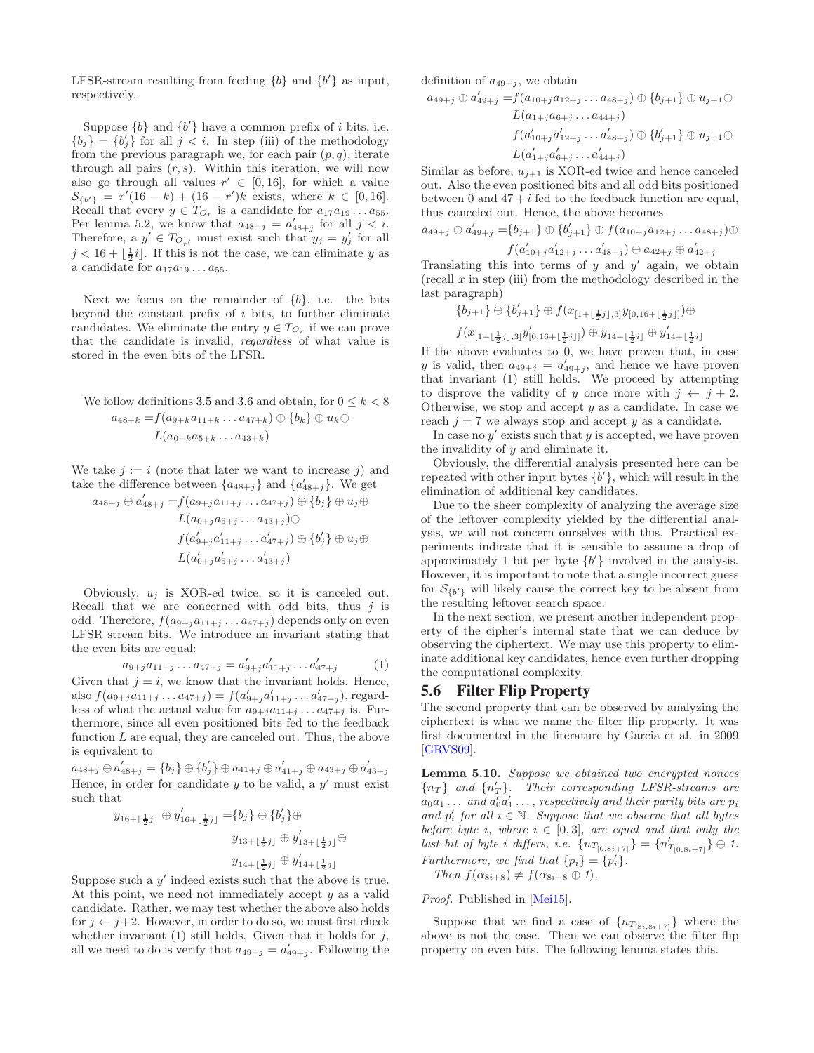LFSR-stream resulting from feeding  ${b}$  and  ${b}'$  as input, respectively.

Suppose  $\{b\}$  and  $\{b'\}$  have a common prefix of i bits, i.e.  ${b_j} = {b'_j}$  for all  $j < i$ . In step (iii) of the methodology from the previous paragraph we, for each pair  $(p, q)$ , iterate through all pairs  $(r, s)$ . Within this iteration, we will now also go through all values  $r' \in [0, 16]$ , for which a value  $S_{\{b'\}} = r'(16 - k) + (16 - r')k$  exists, where  $k \in [0, 16]$ . Recall that every  $y \in T_{O_r}$  is a candidate for  $a_{17}a_{19} \ldots a_{55}$ . Per lemma [5.2,](#page-6-4) we know that  $a_{48+j} = a'_{48+j}$  for all  $j < i$ . Therefore, a  $y' \in T_{O_{r'}}$  must exist such that  $y_j = y'_j$  for all  $j < 16 + \lfloor \frac{1}{2}i \rfloor$ . If this is not the case, we can eliminate y as a candidate for  $a_{17}a_{19}\ldots a_{55}$ .

Next we focus on the remainder of  ${b}$ , i.e. the bits beyond the constant prefix of  $i$  bits, to further eliminate candidates. We eliminate the entry  $y \in T_{O_r}$  if we can prove that the candidate is invalid, regardless of what value is stored in the even bits of the LFSR.

We follow definitions 3.5 and 3.6 and obtain, for 
$$
0 \leq k < 8
$$
\n $a_{48+k} = f(a_{9+k}a_{11+k} \dots a_{47+k}) \oplus \{b_k\} \oplus u_k \oplus$ \n $L(a_{0+k}a_{5+k} \dots a_{43+k})$ 

We take  $j := i$  (note that later we want to increase j) and take the difference between  $\{a_{48+j}\}\$  and  $\{a'_{48+j}\}\$ . We get

$$
a_{48+j} \oplus a'_{48+j} = f(a_{9+j}a_{11+j} \dots a_{47+j}) \oplus \{b_j\} \oplus u_j \oplus
$$
  
\n
$$
L(a_{0+j}a_{5+j} \dots a_{43+j}) \oplus
$$
  
\n
$$
f(a'_{9+j}a'_{11+j} \dots a'_{47+j}) \oplus \{b'_j\} \oplus u_j \oplus
$$
  
\n
$$
L(a'_{0+j}a'_{5+j} \dots a'_{43+j})
$$

Obviously,  $u_i$  is XOR-ed twice, so it is canceled out. Recall that we are concerned with odd bits, thus  $j$  is odd. Therefore,  $f(a_{9+j}a_{11+j} \ldots a_{47+j})$  depends only on even LFSR stream bits. We introduce an invariant stating that the even bits are equal:

$$
a_{9+j}a_{11+j}\ldots a_{47+j} = a'_{9+j}a'_{11+j}\ldots a'_{47+j} \tag{1}
$$

Given that  $j = i$ , we know that the invariant holds. Hence, also  $f(a_{9+j}a_{11+j}\ldots a_{47+j})=f(a'_{9+j}a'_{11+j}\ldots a'_{47+j})$ , regardless of what the actual value for  $a_{9+j}a_{11+j} \ldots a_{47+j}$  is. Furthermore, since all even positioned bits fed to the feedback function  $L$  are equal, they are canceled out. Thus, the above is equivalent to

 $a_{48+j} \oplus a_{48+j}' = \{b_j\} \oplus \{b_j'\} \oplus a_{41+j} \oplus a_{41+j}' \oplus a_{43+j} \oplus a_{43+j}'$ Hence, in order for candidate  $y$  to be valid, a  $y'$  must exist such that

$$
y_{16+\lfloor \frac{1}{2}j \rfloor} \oplus y'_{16+\lfloor \frac{1}{2}j \rfloor} = \{b_j\} \oplus \{b'_j\} \oplus y'_{13+\lfloor \frac{1}{2}j \rfloor} \oplus y'_{13+\lfloor \frac{1}{2}j \rfloor} \oplus y'_{14+\lfloor \frac{1}{2}j \rfloor}
$$

$$
y_{14+\lfloor \frac{1}{2}j \rfloor} \oplus y'_{14+\lfloor \frac{1}{2}j \rfloor}
$$

Suppose such a  $y'$  indeed exists such that the above is true. At this point, we need not immediately accept  $y$  as a valid candidate. Rather, we may test whether the above also holds for  $j \leftarrow j+2$ . However, in order to do so, we must first check whether invariant  $(1)$  still holds. Given that it holds for j, all we need to do is verify that  $a_{49+j} = a'_{49+j}$ . Following the

definition of  $a_{49+j}$ , we obtain

$$
a_{49+j} \oplus a'_{49+j} = f(a_{10+j}a_{12+j} \dots a_{48+j}) \oplus \{b_{j+1}\} \oplus u_{j+1} \oplus
$$
  
\n
$$
L(a_{1+j}a_{6+j} \dots a_{44+j})
$$
  
\n
$$
f(a'_{10+j}a'_{12+j} \dots a'_{48+j}) \oplus \{b'_{j+1}\} \oplus u_{j+1} \oplus
$$
  
\n
$$
L(a'_{1+j}a'_{6+j} \dots a'_{44+j})
$$

Similar as before,  $u_{i+1}$  is XOR-ed twice and hence canceled out. Also the even positioned bits and all odd bits positioned between 0 and  $47 + i$  fed to the feedback function are equal, thus canceled out. Hence, the above becomes

$$
a_{49+j} \oplus a'_{49+j} = \{b_{j+1}\} \oplus \{b'_{j+1}\} \oplus f(a_{10+j}a_{12+j} \dots a_{48+j}) \oplus f(a'_{10+j}a'_{12+j} \dots a'_{48+j}) \oplus a_{42+j} \oplus a'_{42+j}
$$

Translating this into terms of  $y$  and  $y'$  again, we obtain (recall  $x$  in step (iii) from the methodology described in the last paragraph)

$$
\{b_{j+1}\}\oplus\{b'_{j+1}\}\oplus f(x_{[1+\lfloor\frac{1}{2}j\rfloor,3] }y_{[0,16+\lfloor\frac{1}{2}j\rfloor]})\oplus f(x_{[1+\lfloor\frac{1}{2}j\rfloor,3] }y'_{[0,16+\lfloor\frac{1}{2}j\rfloor]})\oplus y_{14+\lfloor\frac{1}{2}i\rfloor}\oplus y'_{14+\lfloor\frac{1}{2}i\rfloor}
$$

If the above evaluates to 0, we have proven that, in case y is valid, then  $a_{49+j} = a'_{49+j}$ , and hence we have proven that invariant (1) still holds. We proceed by attempting to disprove the validity of y once more with  $j \leftarrow j + 2$ . Otherwise, we stop and accept  $y$  as a candidate. In case we reach  $j = 7$  we always stop and accept y as a candidate.

In case no  $y'$  exists such that  $y$  is accepted, we have proven the invalidity of  $y$  and eliminate it.

Obviously, the differential analysis presented here can be repeated with other input bytes  ${b'}$ , which will result in the elimination of additional key candidates.

Due to the sheer complexity of analyzing the average size of the leftover complexity yielded by the differential analysis, we will not concern ourselves with this. Practical experiments indicate that it is sensible to assume a drop of approximately 1 bit per byte  ${b' }$  involved in the analysis. However, it is important to note that a single incorrect guess for  $S_{\{b'\}}$  will likely cause the correct key to be absent from the resulting leftover search space.

In the next section, we present another independent property of the cipher's internal state that we can deduce by observing the ciphertext. We may use this property to eliminate additional key candidates, hence even further dropping the computational complexity.

# <span id="page-9-0"></span>5.6 Filter Flip Property

The second property that can be observed by analyzing the ciphertext is what we name the filter flip property. It was first documented in the literature by Garcia et al. in 2009 [\[GRVS09\]](#page-12-4).

<span id="page-9-1"></span>Lemma 5.10. Suppose we obtained two encrypted nonces  ${n_T}$  and  ${n_T}$ . Their corresponding LFSR-streams are  $a_0a_1 \ldots$  and  $a'_0a'_1 \ldots$ , respectively and their parity bits are  $p_i$ and  $p'_i$  for all  $i \in \mathbb{N}$ . Suppose that we observe that all bytes before byte i, where  $i \in [0,3]$ , are equal and that only the last bit of byte i differs, i.e.  $\{n_{T_{[0,8i+7]}}\} = \{n'_{T_{[0,8i+7]}}\} \oplus 1$ . Furthermore, we find that  $\{p_i\} = \{p'_i\}.$ Then  $f(\alpha_{8i+8}) \neq f(\alpha_{8i+8} \oplus 1)$ .

Proof. Published in [\[Mei15\]](#page-12-36).

Suppose that we find a case of  $\{n_{T_{[8i,8i+7]}}\}$  where the above is not the case. Then we can observe the filter flip property on even bits. The following lemma states this.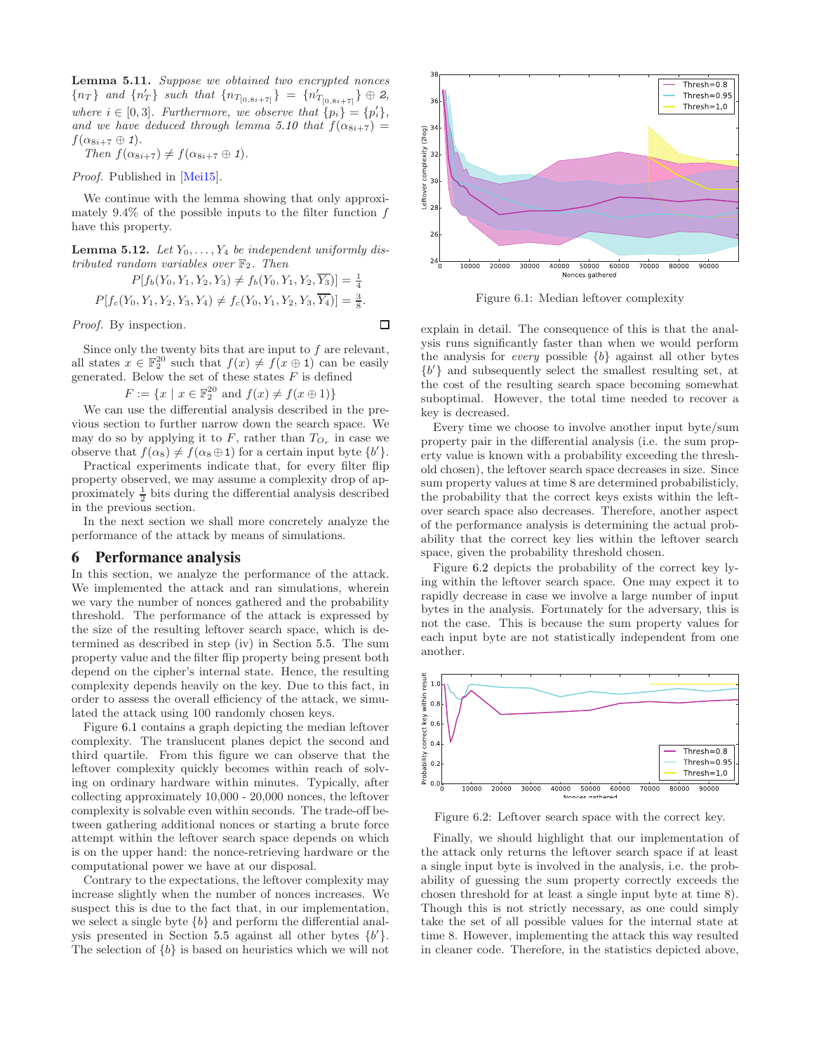Lemma 5.11. Suppose we obtained two encrypted nonces  ${n_T}$  and  ${n_T}$  such that  ${n_{T_{[0,8i+7]}}} = {n'_{T_{[0,8i+7]}}} \oplus 2$ , where  $i \in [0,3]$ . Furthermore, we observe that  $\{p_i\} = \{p'_i\},\$ and we have deduced through lemma [5.10](#page-9-1) that  $f(\alpha_{8i+7}) =$  $f(\alpha_{8i+7}\oplus 1).$ 

Then  $f(\alpha_{8i+7}) \neq f(\alpha_{8i+7} \oplus 1)$ .

Proof. Published in [\[Mei15\]](#page-12-36).

We continue with the lemma showing that only approximately  $9.4\%$  of the possible inputs to the filter function  $f$ have this property.

**Lemma 5.12.** Let  $Y_0, \ldots, Y_4$  be independent uniformly distributed random variables over  $\mathbb{F}_2$ . Then

$$
P[f_b(Y_0, Y_1, Y_2, Y_3) \neq f_b(Y_0, Y_1, Y_2, \overline{Y_3})] = \frac{1}{4}
$$
  

$$
P[f_c(Y_0, Y_1, Y_2, Y_3, Y_4) \neq f_c(Y_0, Y_1, Y_2, Y_3, \overline{Y_4})] = \frac{3}{8}.
$$

Proof. By inspection.

Since only the twenty bits that are input to  $f$  are relevant, all states  $x \in \mathbb{F}_2^{20}$  such that  $f(x) \neq f(x \oplus 1)$  can be easily generated. Below the set of these states  $F$  is defined

 $F := \{x \mid x \in \mathbb{F}_2^{20} \text{ and } f(x) \neq f(x \oplus 1)\}\$ 

We can use the differential analysis described in the previous section to further narrow down the search space. We may do so by applying it to  $F$ , rather than  $T_{O_r}$  in case we observe that  $f(\alpha_8) \neq f(\alpha_8 \oplus 1)$  for a certain input byte  $\{b'\}.$ 

Practical experiments indicate that, for every filter flip property observed, we may assume a complexity drop of approximately  $\frac{1}{2}$  bits during the differential analysis described in the previous section.

<span id="page-10-0"></span>In the next section we shall more concretely analyze the performance of the attack by means of simulations.

#### 6 Performance analysis

In this section, we analyze the performance of the attack. We implemented the attack and ran simulations, wherein we vary the number of nonces gathered and the probability threshold. The performance of the attack is expressed by the size of the resulting leftover search space, which is determined as described in step (iv) in Section [5.5.](#page-8-1) The sum property value and the filter flip property being present both depend on the cipher's internal state. Hence, the resulting complexity depends heavily on the key. Due to this fact, in order to assess the overall efficiency of the attack, we simulated the attack using 100 randomly chosen keys.

Figure [6.1](#page-10-1) contains a graph depicting the median leftover complexity. The translucent planes depict the second and third quartile. From this figure we can observe that the leftover complexity quickly becomes within reach of solving on ordinary hardware within minutes. Typically, after collecting approximately 10,000 - 20,000 nonces, the leftover complexity is solvable even within seconds. The trade-off between gathering additional nonces or starting a brute force attempt within the leftover search space depends on which is on the upper hand: the nonce-retrieving hardware or the computational power we have at our disposal.

Contrary to the expectations, the leftover complexity may increase slightly when the number of nonces increases. We suspect this is due to the fact that, in our implementation, we select a single byte  ${b}$  and perform the differential anal-ysis presented in Section [5.5](#page-8-0) against all other bytes  $\{b'\}$ . The selection of  ${b}$  is based on heuristics which we will not

<span id="page-10-1"></span>

Figure 6.1: Median leftover complexity

explain in detail. The consequence of this is that the analysis runs significantly faster than when we would perform the analysis for *every* possible  ${b}$  against all other bytes {b ′ } and subsequently select the smallest resulting set, at the cost of the resulting search space becoming somewhat suboptimal. However, the total time needed to recover a key is decreased.

Every time we choose to involve another input byte/sum property pair in the differential analysis (i.e. the sum property value is known with a probability exceeding the threshold chosen), the leftover search space decreases in size. Since sum property values at time 8 are determined probabilisticly, the probability that the correct keys exists within the leftover search space also decreases. Therefore, another aspect of the performance analysis is determining the actual probability that the correct key lies within the leftover search space, given the probability threshold chosen.

Figure [6.2](#page-10-2) depicts the probability of the correct key lying within the leftover search space. One may expect it to rapidly decrease in case we involve a large number of input bytes in the analysis. Fortunately for the adversary, this is not the case. This is because the sum property values for each input byte are not statistically independent from one another.

<span id="page-10-2"></span>

Figure 6.2: Leftover search space with the correct key.

Finally, we should highlight that our implementation of the attack only returns the leftover search space if at least a single input byte is involved in the analysis, i.e. the probability of guessing the sum property correctly exceeds the chosen threshold for at least a single input byte at time 8). Though this is not strictly necessary, as one could simply take the set of all possible values for the internal state at time 8. However, implementing the attack this way resulted in cleaner code. Therefore, in the statistics depicted above,

 $\Box$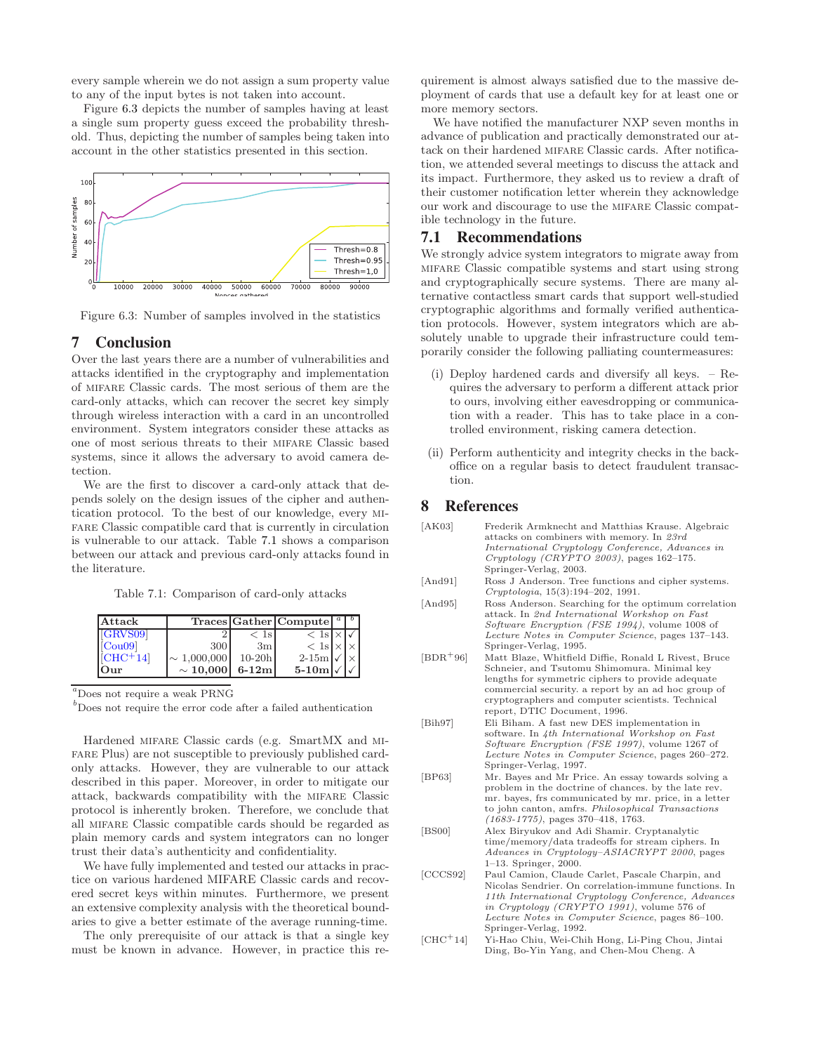every sample wherein we do not assign a sum property value to any of the input bytes is not taken into account.

Figure [6.3](#page-11-10) depicts the number of samples having at least a single sum property guess exceed the probability threshold. Thus, depicting the number of samples being taken into account in the other statistics presented in this section.

<span id="page-11-10"></span>

<span id="page-11-1"></span>Figure 6.3: Number of samples involved in the statistics

# 7 Conclusion

Over the last years there are a number of vulnerabilities and attacks identified in the cryptography and implementation of mifare Classic cards. The most serious of them are the card-only attacks, which can recover the secret key simply through wireless interaction with a card in an uncontrolled environment. System integrators consider these attacks as one of most serious threats to their mifare Classic based systems, since it allows the adversary to avoid camera detection.

We are the first to discover a card-only attack that depends solely on the design issues of the cipher and authentication protocol. To the best of our knowledge, every mi-FARE Classic compatible card that is currently in circulation is vulnerable to our attack. Table [7.1](#page-11-11) shows a comparison between our attack and previous card-only attacks found in the literature.

<span id="page-11-11"></span>Table 7.1: Comparison of card-only attacks

| Attack     |                  |                 | Traces Gather Compute <sup>a</sup> |  |
|------------|------------------|-----------------|------------------------------------|--|
| [GRVS09]   |                  | $< 1\mathrm{s}$ | $<$ 1s $\times$ $\sqrt{ }$         |  |
| [Cu09]     | 300              | 3m              | $<$ 1s $\times$ $\times$           |  |
| $[CHC+14]$ | $\sim 1,000,000$ | $10-20h$        | $2-15m$ $\sqrt{ }$                 |  |
| .Our       | $\sim 10,000$    | $6-12m$         | $5-10m \sqrt{ }$                   |  |

 ${}^a$ Does not require a weak PRNG

<span id="page-11-12"></span> $<sup>b</sup>$ Does not require the error code after a failed authentication</sup>

Hardened mifare Classic cards (e.g. SmartMX and mifare Plus) are not susceptible to previously published cardonly attacks. However, they are vulnerable to our attack described in this paper. Moreover, in order to mitigate our attack, backwards compatibility with the mifare Classic protocol is inherently broken. Therefore, we conclude that all mifare Classic compatible cards should be regarded as plain memory cards and system integrators can no longer trust their data's authenticity and confidentiality.

<span id="page-11-4"></span>We have fully implemented and tested our attacks in practice on various hardened MIFARE Classic cards and recovered secret keys within minutes. Furthermore, we present an extensive complexity analysis with the theoretical boundaries to give a better estimate of the average running-time.

<span id="page-11-0"></span>The only prerequisite of our attack is that a single key must be known in advance. However, in practice this requirement is almost always satisfied due to the massive deployment of cards that use a default key for at least one or more memory sectors.

We have notified the manufacturer NXP seven months in advance of publication and practically demonstrated our attack on their hardened MIFARE Classic cards. After notification, we attended several meetings to discuss the attack and its impact. Furthermore, they asked us to review a draft of their customer notification letter wherein they acknowledge our work and discourage to use the mifare Classic compatible technology in the future.

#### 7.1 Recommendations

We strongly advice system integrators to migrate away from mifare Classic compatible systems and start using strong and cryptographically secure systems. There are many alternative contactless smart cards that support well-studied cryptographic algorithms and formally verified authentication protocols. However, system integrators which are absolutely unable to upgrade their infrastructure could temporarily consider the following palliating countermeasures:

- (i) Deploy hardened cards and diversify all keys. Requires the adversary to perform a different attack prior to ours, involving either eavesdropping or communication with a reader. This has to take place in a controlled environment, risking camera detection.
- (ii) Perform authenticity and integrity checks in the backoffice on a regular basis to detect fraudulent transaction.

# 8 References

<span id="page-11-9"></span><span id="page-11-8"></span><span id="page-11-7"></span><span id="page-11-6"></span><span id="page-11-5"></span><span id="page-11-3"></span><span id="page-11-2"></span>

| [AK03]     | Frederik Armknecht and Matthias Krause. Algebraic<br>attacks on combiners with memory. In 23rd<br>International Cryptology Conference, Advances in<br>$Cryptography (CRYPTO 2003)$ , pages 162-175.<br>Springer-Verlag, 2003.                                                                         |
|------------|-------------------------------------------------------------------------------------------------------------------------------------------------------------------------------------------------------------------------------------------------------------------------------------------------------|
| [And91]    | Ross J Anderson. Tree functions and cipher systems.<br>$Cryptologia, 15(3):194-202, 1991.$                                                                                                                                                                                                            |
| [And95]    | Ross Anderson. Searching for the optimum correlation<br>attack. In 2nd International Workshop on Fast<br>Software Encryption (FSE 1994), volume 1008 of<br>Lecture Notes in Computer Science, pages 137-143.<br>Springer-Verlag, 1995.                                                                |
| $[BDR+96]$ | Matt Blaze, Whitfield Diffie, Ronald L Rivest, Bruce<br>Schneier, and Tsutomu Shimomura. Minimal key<br>lengths for symmetric ciphers to provide adequate<br>commercial security. a report by an ad hoc group of<br>cryptographers and computer scientists. Technical<br>report, DTIC Document, 1996. |
| [Bih97]    | Eli Biham. A fast new DES implementation in<br>software. In 4th International Workshop on Fast<br>Software Encryption (FSE 1997), volume 1267 of<br>Lecture Notes in Computer Science, pages 260-272.<br>Springer-Verlag, 1997.                                                                       |
| [BP63]     | Mr. Bayes and Mr Price. An essay towards solving a<br>problem in the doctrine of chances, by the late rev.<br>mr. bayes, frs communicated by mr. price, in a letter<br>to john canton, amfrs. Philosophical Transactions<br>$(1683-1775)$ , pages 370-418, 1763.                                      |
| [BS00]     | Alex Biryukov and Adi Shamir. Cryptanalytic<br>time/memory/data tradeoffs for stream ciphers. In<br>Advances in Cryptology-ASIACRYPT 2000, pages<br>$1-13.$ Springer, 2000.                                                                                                                           |
| [CCCS92]   | Paul Camion, Claude Carlet, Pascale Charpin, and<br>Nicolas Sendrier. On correlation-immune functions. In<br>11th International Cryptology Conference, Advances<br>in Cryptology (CRYPTO 1991), volume 576 of<br>Lecture Notes in Computer Science, pages 86-100.<br>Springer-Verlag, 1992.           |
| $[CHC+14]$ | Yi-Hao Chiu, Wei-Chih Hong, Li-Ping Chou, Jintai<br>Ding, Bo-Yin Yang, and Chen-Mou Cheng. A                                                                                                                                                                                                          |